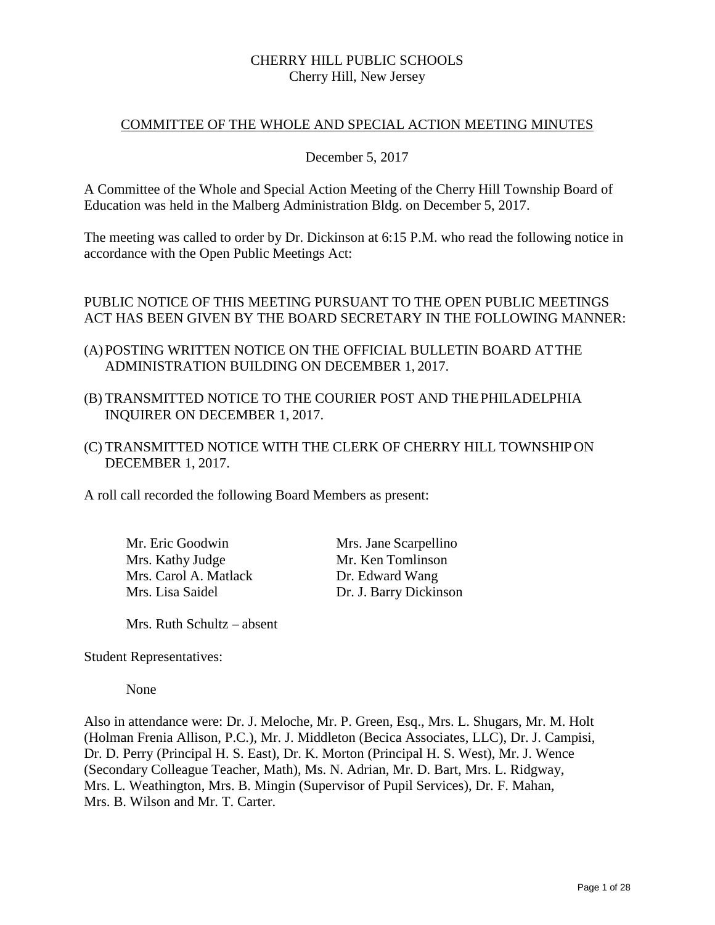## CHERRY HILL PUBLIC SCHOOLS Cherry Hill, New Jersey

## COMMITTEE OF THE WHOLE AND SPECIAL ACTION MEETING MINUTES

## December 5, 2017

A Committee of the Whole and Special Action Meeting of the Cherry Hill Township Board of Education was held in the Malberg Administration Bldg. on December 5, 2017.

The meeting was called to order by Dr. Dickinson at 6:15 P.M. who read the following notice in accordance with the Open Public Meetings Act:

# PUBLIC NOTICE OF THIS MEETING PURSUANT TO THE OPEN PUBLIC MEETINGS ACT HAS BEEN GIVEN BY THE BOARD SECRETARY IN THE FOLLOWING MANNER:

- (A) POSTING WRITTEN NOTICE ON THE OFFICIAL BULLETIN BOARD ATTHE ADMINISTRATION BUILDING ON DECEMBER 1, 2017.
- (B) TRANSMITTED NOTICE TO THE COURIER POST AND THEPHILADELPHIA INQUIRER ON DECEMBER 1, 2017.
- (C) TRANSMITTED NOTICE WITH THE CLERK OF CHERRY HILL TOWNSHIPON DECEMBER 1, 2017.

A roll call recorded the following Board Members as present:

| Mr. Eric Goodwin      |
|-----------------------|
| Mrs. Kathy Judge      |
| Mrs. Carol A. Matlack |
| Mrs. Lisa Saidel      |

Mrs. Jane Scarpellino Mr. Ken Tomlinson Dr. Edward Wang Dr. J. Barry Dickinson

Mrs. Ruth Schultz – absent

Student Representatives:

None

Also in attendance were: Dr. J. Meloche, Mr. P. Green, Esq., Mrs. L. Shugars, Mr. M. Holt (Holman Frenia Allison, P.C.), Mr. J. Middleton (Becica Associates, LLC), Dr. J. Campisi, Dr. D. Perry (Principal H. S. East), Dr. K. Morton (Principal H. S. West), Mr. J. Wence (Secondary Colleague Teacher, Math), Ms. N. Adrian, Mr. D. Bart, Mrs. L. Ridgway, Mrs. L. Weathington, Mrs. B. Mingin (Supervisor of Pupil Services), Dr. F. Mahan, Mrs. B. Wilson and Mr. T. Carter.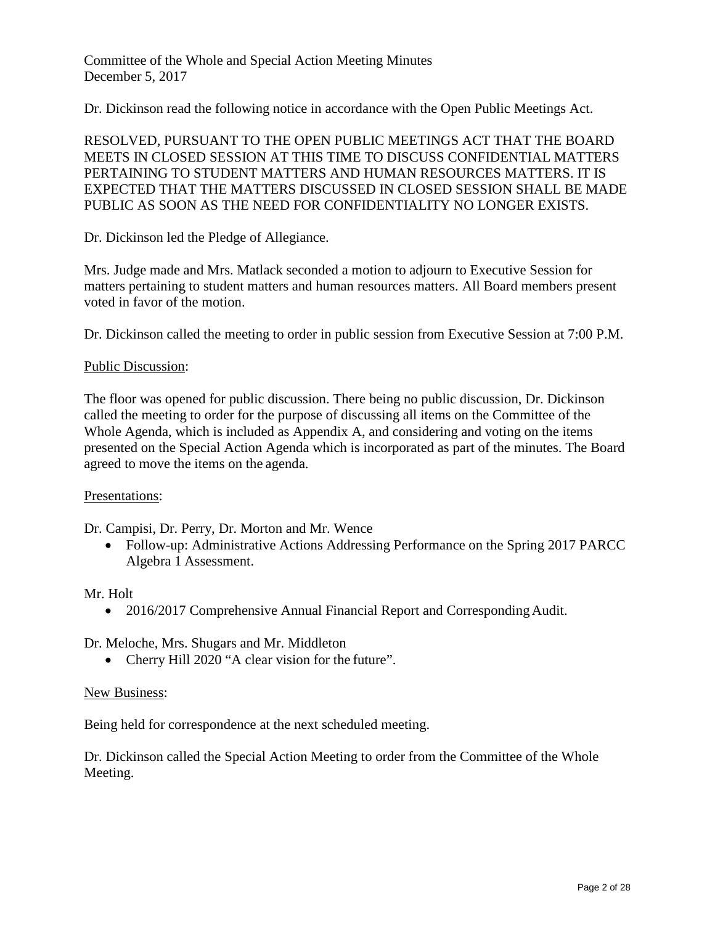Committee of the Whole and Special Action Meeting Minutes December 5, 2017

Dr. Dickinson read the following notice in accordance with the Open Public Meetings Act.

RESOLVED, PURSUANT TO THE OPEN PUBLIC MEETINGS ACT THAT THE BOARD MEETS IN CLOSED SESSION AT THIS TIME TO DISCUSS CONFIDENTIAL MATTERS PERTAINING TO STUDENT MATTERS AND HUMAN RESOURCES MATTERS. IT IS EXPECTED THAT THE MATTERS DISCUSSED IN CLOSED SESSION SHALL BE MADE PUBLIC AS SOON AS THE NEED FOR CONFIDENTIALITY NO LONGER EXISTS.

Dr. Dickinson led the Pledge of Allegiance.

Mrs. Judge made and Mrs. Matlack seconded a motion to adjourn to Executive Session for matters pertaining to student matters and human resources matters. All Board members present voted in favor of the motion.

Dr. Dickinson called the meeting to order in public session from Executive Session at 7:00 P.M.

#### Public Discussion:

The floor was opened for public discussion. There being no public discussion, Dr. Dickinson called the meeting to order for the purpose of discussing all items on the Committee of the Whole Agenda, which is included as Appendix A, and considering and voting on the items presented on the Special Action Agenda which is incorporated as part of the minutes. The Board agreed to move the items on the agenda.

#### Presentations:

Dr. Campisi, Dr. Perry, Dr. Morton and Mr. Wence

• Follow-up: Administrative Actions Addressing Performance on the Spring 2017 PARCC Algebra 1 Assessment.

#### Mr. Holt

• 2016/2017 Comprehensive Annual Financial Report and Corresponding Audit.

Dr. Meloche, Mrs. Shugars and Mr. Middleton

• Cherry Hill 2020 "A clear vision for the future".

#### New Business:

Being held for correspondence at the next scheduled meeting.

Dr. Dickinson called the Special Action Meeting to order from the Committee of the Whole Meeting.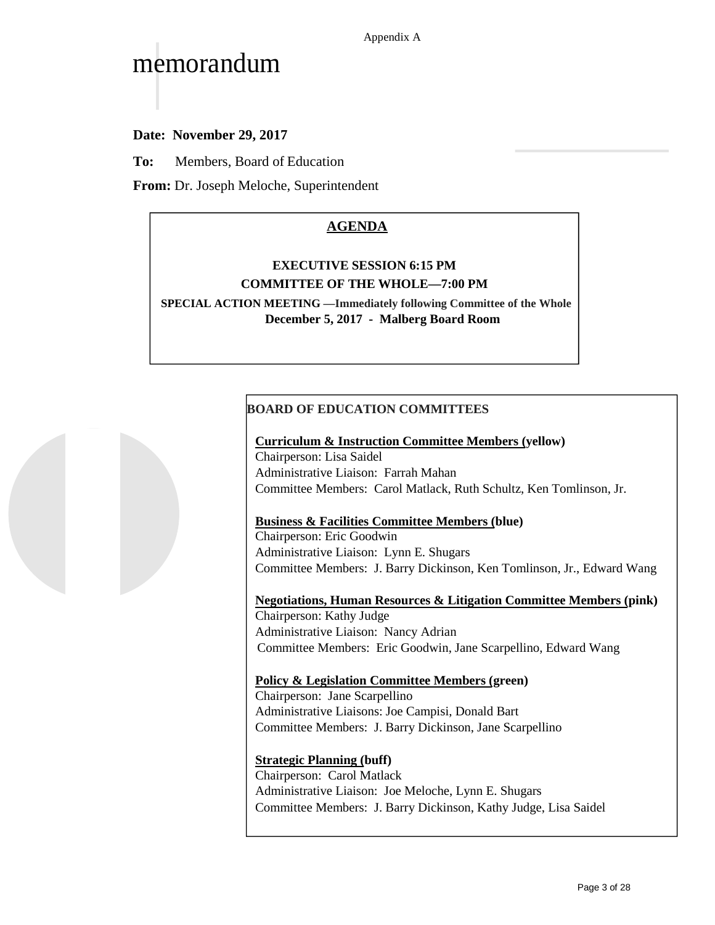# memorandum

**Date: November 29, 2017**

**To:** Members, Board of Education

**From:** Dr. Joseph Meloche, Superintendent

# **AGENDA**

# **EXECUTIVE SESSION 6:15 PM COMMITTEE OF THE WHOLE—7:00 PM**

**SPECIAL ACTION MEETING —Immediately following Committee of the Whole December 5, 2017 - Malberg Board Room**

# **BOARD OF EDUCATION COMMITTEES**

#### **Curriculum & Instruction Committee Members (yellow)**

Chairperson: Lisa Saidel Administrative Liaison: Farrah Mahan Committee Members: Carol Matlack, Ruth Schultz, Ken Tomlinson, Jr.

## **Business & Facilities Committee Members (blue)**

Chairperson: Eric Goodwin Administrative Liaison: Lynn E. Shugars Committee Members: J. Barry Dickinson, Ken Tomlinson, Jr., Edward Wang

**Negotiations, Human Resources & Litigation Committee Members (pink)**

Chairperson: Kathy Judge Administrative Liaison: Nancy Adrian Committee Members: Eric Goodwin, Jane Scarpellino, Edward Wang

## **Policy & Legislation Committee Members (green)**

Chairperson: Jane Scarpellino Administrative Liaisons: Joe Campisi, Donald Bart Committee Members: J. Barry Dickinson, Jane Scarpellino

## **Strategic Planning (buff)**

Chairperson: Carol Matlack Administrative Liaison: Joe Meloche, Lynn E. Shugars Committee Members: J. Barry Dickinson, Kathy Judge, Lisa Saidel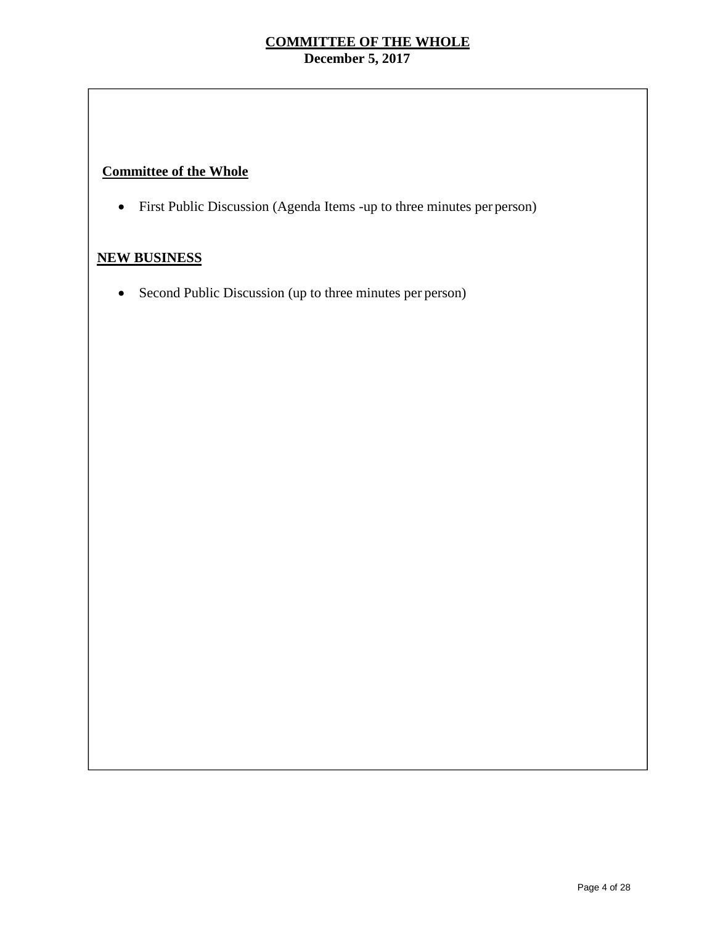# **Committee of the Whole**

• First Public Discussion (Agenda Items -up to three minutes per person)

# **NEW BUSINESS**

• Second Public Discussion (up to three minutes per person)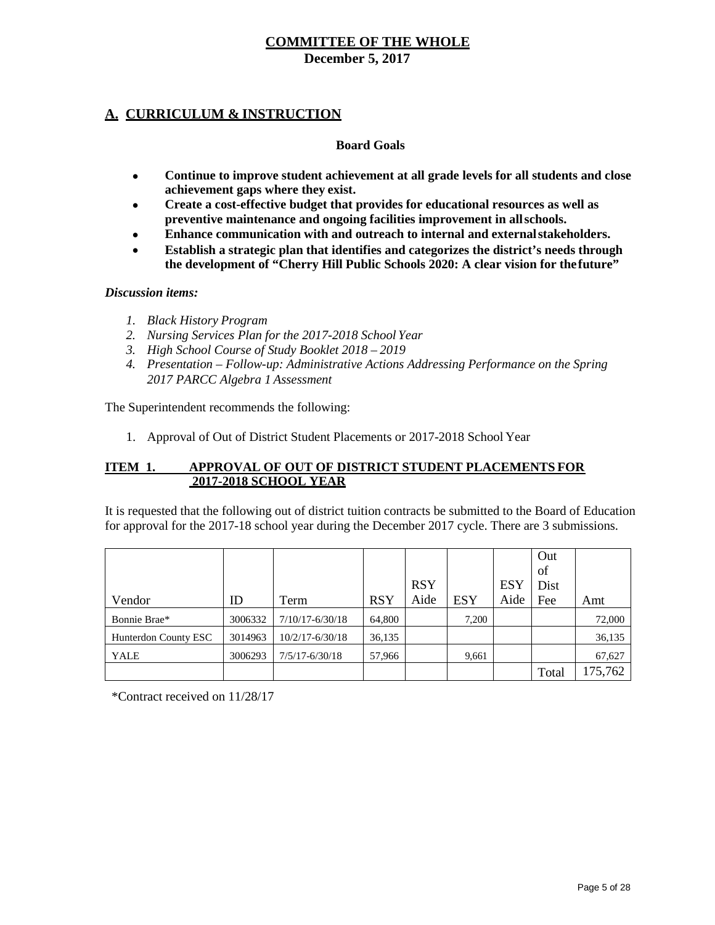**December 5, 2017**

# **A. CURRICULUM & INSTRUCTION**

#### **Board Goals**

- **Continue to improve student achievement at all grade levels for all students and close achievement gaps where they exist.**
- **Create a cost-effective budget that provides for educational resources as well as preventive maintenance and ongoing facilities improvement in allschools.**
- **Enhance communication with and outreach to internal and externalstakeholders.**
- **Establish a strategic plan that identifies and categorizes the district's needs through the development of "Cherry Hill Public Schools 2020: A clear vision for thefuture"**

#### *Discussion items:*

- *1. Black History Program*
- *2. Nursing Services Plan for the 2017-2018 School Year*
- *3. High School Course of Study Booklet 2018 – 2019*
- *4. Presentation – Follow-up: Administrative Actions Addressing Performance on the Spring 2017 PARCC Algebra 1 Assessment*

The Superintendent recommends the following:

1. Approval of Out of District Student Placements or 2017-2018 School Year

#### **ITEM 1. APPROVAL OF OUT OF DISTRICT STUDENT PLACEMENTS FOR 2017-2018 SCHOOL YEAR**

It is requested that the following out of district tuition contracts be submitted to the Board of Education for approval for the 2017-18 school year during the December 2017 cycle. There are 3 submissions.

|                      |         |                     |            |            |            |            | Out   |         |
|----------------------|---------|---------------------|------------|------------|------------|------------|-------|---------|
|                      |         |                     |            |            |            |            | of    |         |
|                      |         |                     |            | <b>RSY</b> |            | <b>ESY</b> | Dist  |         |
| Vendor               | ID      | Term                | <b>RSY</b> | Aide       | <b>ESY</b> | Aide       | Fee   | Amt     |
| Bonnie Brae*         | 3006332 | $7/10/17 - 6/30/18$ | 64,800     |            | 7.200      |            |       | 72,000  |
| Hunterdon County ESC | 3014963 | $10/2/17 - 6/30/18$ | 36,135     |            |            |            |       | 36,135  |
| <b>YALE</b>          | 3006293 | $7/5/17 - 6/30/18$  | 57,966     |            | 9,661      |            |       | 67,627  |
|                      |         |                     |            |            |            |            | Total | 175,762 |

\*Contract received on 11/28/17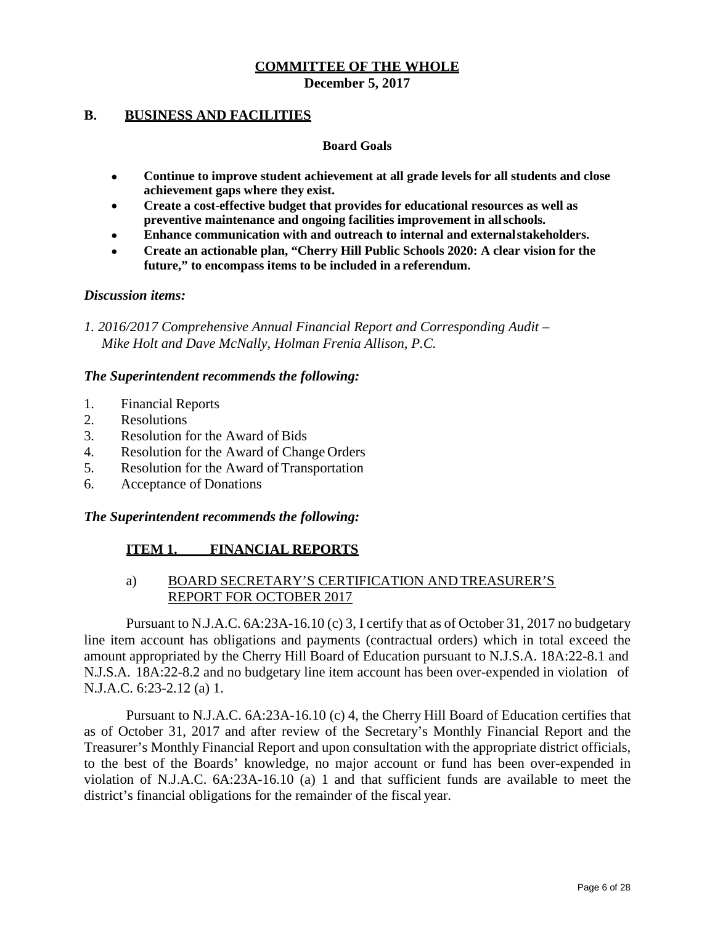**December 5, 2017**

#### **B. BUSINESS AND FACILITIES**

#### **Board Goals**

- **Continue to improve student achievement at all grade levels for all students and close achievement gaps where they exist.**
- **Create a cost-effective budget that provides for educational resources as well as preventive maintenance and ongoing facilities improvement in allschools.**
- **Enhance communication with and outreach to internal and externalstakeholders.**
- **Create an actionable plan, "Cherry Hill Public Schools 2020: A clear vision for the future," to encompass items to be included in a referendum.**

#### *Discussion items:*

*1. 2016/2017 Comprehensive Annual Financial Report and Corresponding Audit – Mike Holt and Dave McNally, Holman Frenia Allison, P.C.*

#### *The Superintendent recommends the following:*

- 1. Financial Reports
- 2. Resolutions
- 3. Resolution for the Award of Bids
- 4. Resolution for the Award of Change Orders
- 5. Resolution for the Award of Transportation
- 6. Acceptance of Donations

#### *The Superintendent recommends the following:*

# **ITEM 1. FINANCIAL REPORTS**

## a) BOARD SECRETARY'S CERTIFICATION AND TREASURER'S REPORT FOR OCTOBER 2017

Pursuant to N.J.A.C. 6A:23A-16.10 (c) 3, I certify that as of October 31, 2017 no budgetary line item account has obligations and payments (contractual orders) which in total exceed the amount appropriated by the Cherry Hill Board of Education pursuant to N.J.S.A. 18A:22-8.1 and N.J.S.A. 18A:22-8.2 and no budgetary line item account has been over-expended in violation of N.J.A.C. 6:23-2.12 (a) 1.

Pursuant to N.J.A.C. 6A:23A-16.10 (c) 4, the Cherry Hill Board of Education certifies that as of October 31, 2017 and after review of the Secretary's Monthly Financial Report and the Treasurer's Monthly Financial Report and upon consultation with the appropriate district officials, to the best of the Boards' knowledge, no major account or fund has been over-expended in violation of N.J.A.C. 6A:23A-16.10 (a) 1 and that sufficient funds are available to meet the district's financial obligations for the remainder of the fiscal year.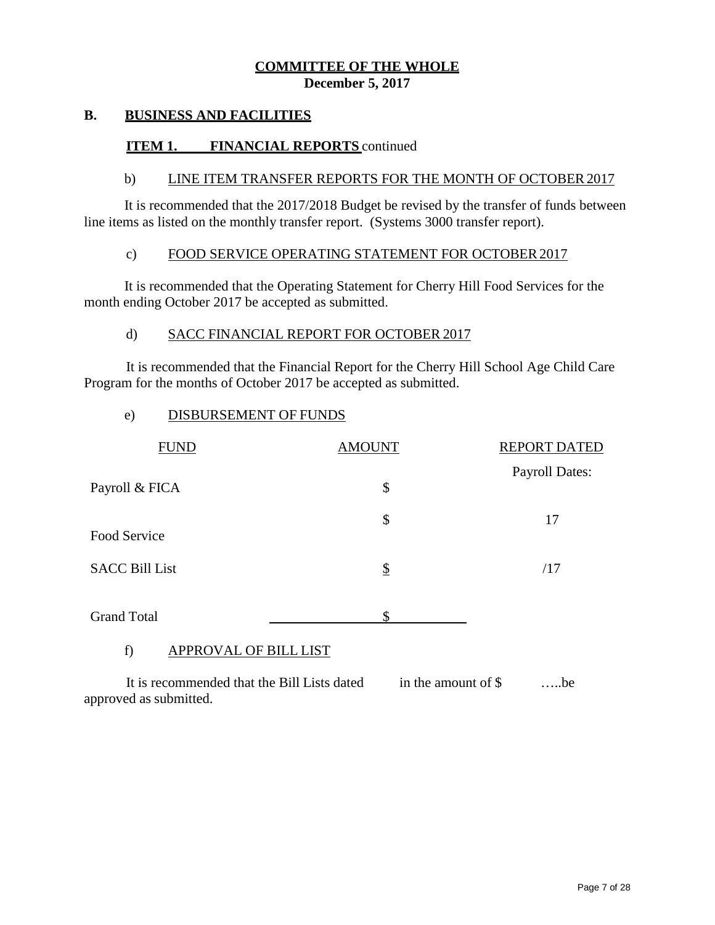#### **B. BUSINESS AND FACILITIES**

#### **ITEM 1. FINANCIAL REPORTS** continued

#### b) LINE ITEM TRANSFER REPORTS FOR THE MONTH OF OCTOBER2017

It is recommended that the 2017/2018 Budget be revised by the transfer of funds between line items as listed on the monthly transfer report. (Systems 3000 transfer report).

# c) FOOD SERVICE OPERATING STATEMENT FOR OCTOBER 2017

It is recommended that the Operating Statement for Cherry Hill Food Services for the month ending October 2017 be accepted as submitted.

#### d) SACC FINANCIAL REPORT FOR OCTOBER 2017

It is recommended that the Financial Report for the Cherry Hill School Age Child Care Program for the months of October 2017 be accepted as submitted.

e) DISBURSEMENT OF FUNDS

| <b>FUND</b>           | <b>AMOUNT</b> | <b>REPORT DATED</b>   |
|-----------------------|---------------|-----------------------|
| Payroll & FICA        | \$            | <b>Payroll Dates:</b> |
|                       |               |                       |
| Food Service          | \$            | 17                    |
| <b>SACC Bill List</b> | $\frac{1}{2}$ | /17                   |
| <b>Grand Total</b>    | Φ             |                       |

#### f) APPROVAL OF BILL LIST

It is recommended that the Bill Lists dated in the amount of \$ .....be approved as submitted.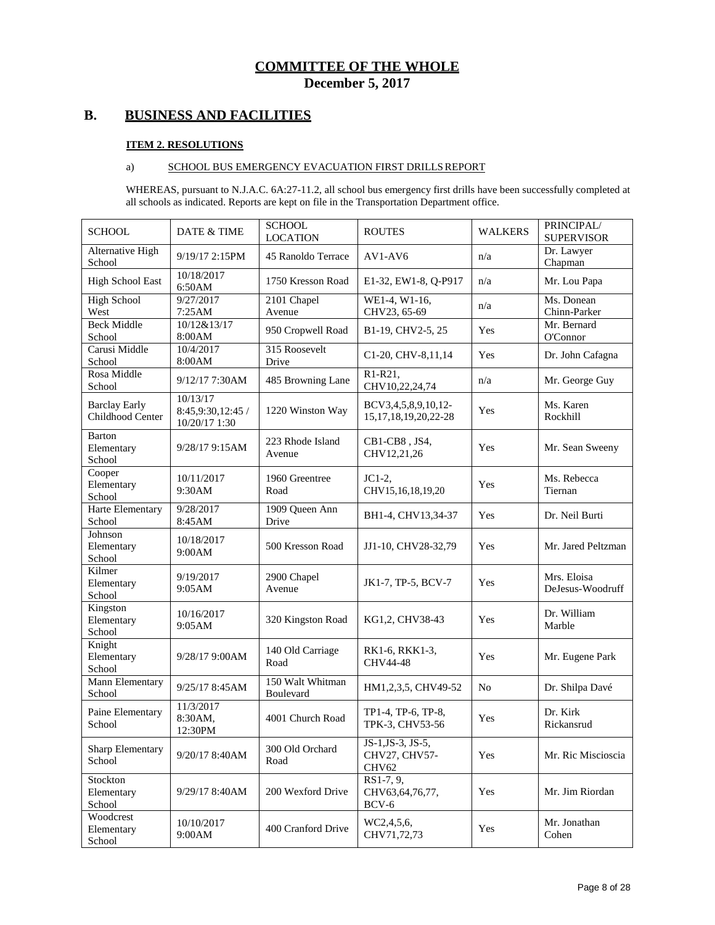# **B. BUSINESS AND FACILITIES**

#### **ITEM 2. RESOLUTIONS**

#### a) SCHOOL BUS EMERGENCY EVACUATION FIRST DRILLS REPORT

WHEREAS, pursuant to N.J.A.C. 6A:27-11.2, all school bus emergency first drills have been successfully completed at all schools as indicated. Reports are kept on file in the Transportation Department office.

| <b>SCHOOL</b>                            | <b>DATE &amp; TIME</b>                         | <b>SCHOOL</b><br><b>LOCATION</b> | <b>ROUTES</b>                                             | <b>WALKERS</b> | PRINCIPAL/<br><b>SUPERVISOR</b> |
|------------------------------------------|------------------------------------------------|----------------------------------|-----------------------------------------------------------|----------------|---------------------------------|
| Alternative High<br>School               | 9/19/17 2:15PM                                 | 45 Ranoldo Terrace               | $AV1-AV6$                                                 | n/a            | Dr. Lawyer<br>Chapman           |
| <b>High School East</b>                  | 10/18/2017<br>6:50AM                           | 1750 Kresson Road                | E1-32, EW1-8, Q-P917                                      | n/a            | Mr. Lou Papa                    |
| <b>High School</b><br>West               | 9/27/2017<br>7:25AM                            | 2101 Chapel<br>Avenue            | WE1-4, W1-16,<br>CHV23, 65-69                             | n/a            | Ms. Donean<br>Chinn-Parker      |
| <b>Beck Middle</b><br>School             | 10/12&13/17<br>8:00AM                          | 950 Cropwell Road                | B1-19, CHV2-5, 25                                         | Yes            | Mr. Bernard<br>O'Connor         |
| Carusi Middle<br>School                  | 10/4/2017<br>8:00AM                            | 315 Roosevelt<br>Drive           | C1-20, CHV-8,11,14                                        | Yes            | Dr. John Cafagna                |
| Rosa Middle<br>School                    | 9/12/17 7:30AM                                 | 485 Browning Lane                | R1-R21,<br>CHV10,22,24,74                                 | n/a            | Mr. George Guy                  |
| <b>Barclay Early</b><br>Childhood Center | 10/13/17<br>8:45,9:30,12:45 /<br>10/20/17 1:30 | 1220 Winston Way                 | BCV3,4,5,8,9,10,12-<br>15, 17, 18, 19, 20, 22-28          | Yes            | Ms. Karen<br>Rockhill           |
| <b>Barton</b><br>Elementary<br>School    | 9/28/17 9:15AM                                 | 223 Rhode Island<br>Avenue       | CB1-CB8, JS4,<br>CHV12,21,26                              | Yes            | Mr. Sean Sweeny                 |
| Cooper<br>Elementary<br>School           | 10/11/2017<br>9:30AM                           | 1960 Greentree<br>Road           | $JC1-2.$<br>CHV15,16,18,19,20                             | Yes            | Ms. Rebecca<br>Tiernan          |
| <b>Harte Elementary</b><br>School        | 9/28/2017<br>8:45AM                            | 1909 Queen Ann<br>Drive          | BH1-4, CHV13,34-37                                        | Yes            | Dr. Neil Burti                  |
| Johnson<br>Elementary<br>School          | 10/18/2017<br>9:00AM                           | 500 Kresson Road                 | JJ1-10, CHV28-32,79                                       | Yes            | Mr. Jared Peltzman              |
| Kilmer<br>Elementary<br>School           | 9/19/2017<br>9:05AM                            | 2900 Chapel<br>Avenue            | JK1-7, TP-5, BCV-7                                        | Yes            | Mrs. Eloisa<br>DeJesus-Woodruff |
| Kingston<br>Elementary<br>School         | 10/16/2017<br>9:05AM                           | 320 Kingston Road                | KG1,2, CHV38-43                                           | Yes            | Dr. William<br>Marble           |
| Knight<br>Elementary<br>School           | 9/28/17 9:00 AM                                | 140 Old Carriage<br>Road         | RK1-6, RKK1-3,<br>CHV44-48                                | Yes            | Mr. Eugene Park                 |
| Mann Elementary<br>School                | 9/25/17 8:45 AM                                | 150 Walt Whitman<br>Boulevard    | HM1,2,3,5, CHV49-52                                       | N <sub>0</sub> | Dr. Shilpa Davé                 |
| Paine Elementary<br>School               | 11/3/2017<br>8:30AM,<br>12:30PM                | 4001 Church Road                 | TP1-4, TP-6, TP-8,<br>TPK-3, CHV53-56                     | Yes            | Dr. Kirk<br>Rickansrud          |
| <b>Sharp Elementary</b><br>School        | 9/20/17 8:40AM                                 | 300 Old Orchard<br>Road          | $JS-1, JS-3, JS-5,$<br>CHV27, CHV57-<br>CHV <sub>62</sub> | Yes            | Mr. Ric Miscioscia              |
| Stockton<br>Elementary<br>School         | 9/29/17 8:40AM                                 | 200 Wexford Drive                | $RS1-7, 9,$<br>CHV63,64,76,77,<br>BCV-6                   | Yes            | Mr. Jim Riordan                 |
| Woodcrest<br>Elementary<br>School        | 10/10/2017<br>9:00AM                           | 400 Cranford Drive               | WC2,4,5,6,<br>CHV71,72,73                                 | Yes            | Mr. Jonathan<br>Cohen           |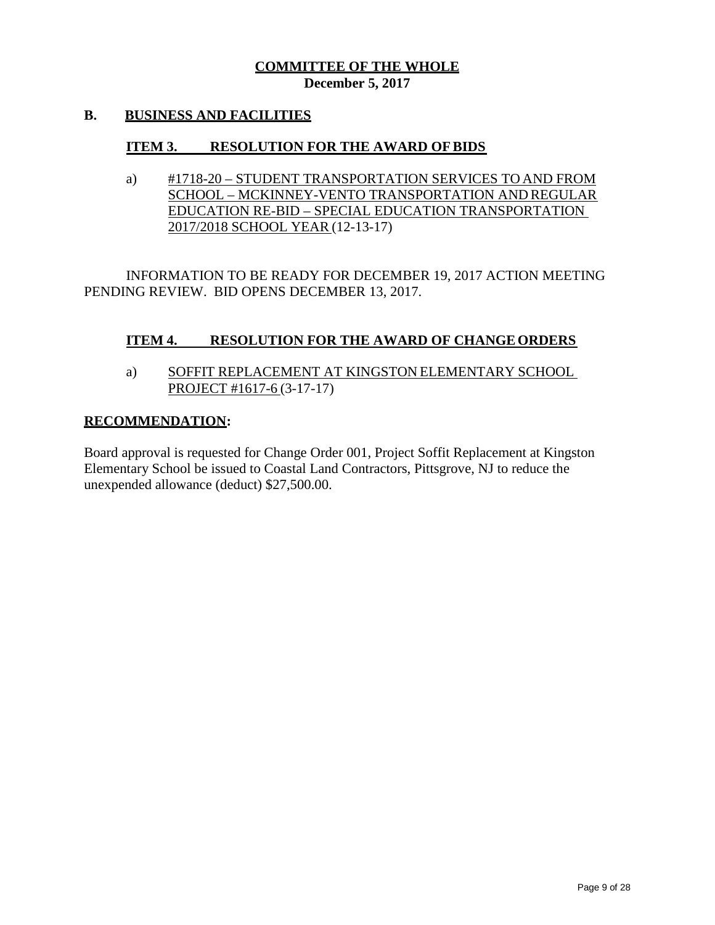## **B. BUSINESS AND FACILITIES**

## **ITEM 3. RESOLUTION FOR THE AWARD OFBIDS**

a) #1718-20 – STUDENT TRANSPORTATION SERVICES TO AND FROM SCHOOL – MCKINNEY-VENTO TRANSPORTATION AND REGULAR EDUCATION RE-BID – SPECIAL EDUCATION TRANSPORTATION 2017/2018 SCHOOL YEAR (12-13-17)

INFORMATION TO BE READY FOR DECEMBER 19, 2017 ACTION MEETING PENDING REVIEW. BID OPENS DECEMBER 13, 2017.

# **ITEM 4. RESOLUTION FOR THE AWARD OF CHANGEORDERS**

a) SOFFIT REPLACEMENT AT KINGSTON ELEMENTARY SCHOOL PROJECT #1617-6 (3-17-17)

#### **RECOMMENDATION:**

Board approval is requested for Change Order 001, Project Soffit Replacement at Kingston Elementary School be issued to Coastal Land Contractors, Pittsgrove, NJ to reduce the unexpended allowance (deduct) \$27,500.00.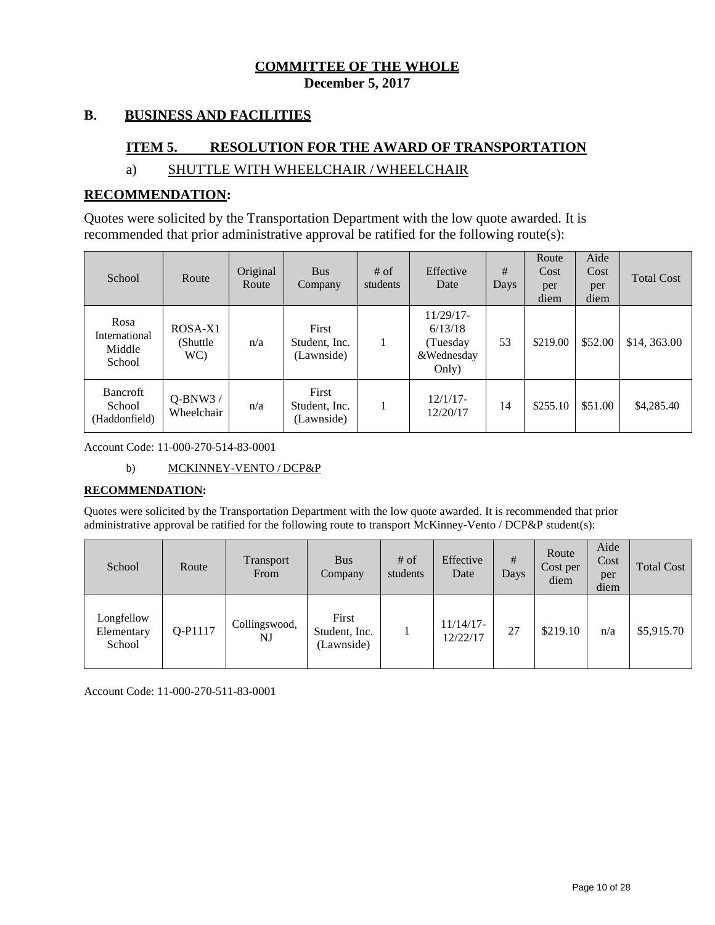#### **B. BUSINESS AND FACILITIES**

## **ITEM 5. RESOLUTION FOR THE AWARD OF TRANSPORTATION**

# a) SHUTTLE WITH WHEELCHAIR / WHEELCHAIR

#### **RECOMMENDATION:**

Quotes were solicited by the Transportation Department with the low quote awarded. It is recommended that prior administrative approval be ratified for the following route(s):

| School                                     | Route                       | Original<br>Route | <b>Bus</b><br>Company                | $#$ of<br>students | Effective<br>Date                                          | #<br>Days | Route<br>Cost<br>per<br>diem | Aide<br>Cost<br>per<br>diem | <b>Total Cost</b> |
|--------------------------------------------|-----------------------------|-------------------|--------------------------------------|--------------------|------------------------------------------------------------|-----------|------------------------------|-----------------------------|-------------------|
| Rosa<br>International<br>Middle<br>School  | ROSA-X1<br>(Shuttle)<br>WC) | n/a               | First<br>Student, Inc.<br>(Lawnside) |                    | $11/29/17-$<br>6/13/18<br>(Tuesday)<br>&Wednesday<br>Only) | 53        | \$219.00                     | \$52.00                     | \$14,363.00       |
| <b>Bancroft</b><br>School<br>(Haddonfield) | $O-BNW3/$<br>Wheelchair     | n/a               | First<br>Student, Inc.<br>(Lawnside) |                    | 12/1/17<br>12/20/17                                        | 14        | \$255.10                     | \$51.00                     | \$4,285.40        |

Account Code: 11-000-270-514-83-0001

b) MCKINNEY-VENTO / DCP&P

#### **RECOMMENDATION:**

Quotes were solicited by the Transportation Department with the low quote awarded. It is recommended that prior administrative approval be ratified for the following route to transport McKinney-Vento / DCP&P student(s):

| School                             | Route   | <b>Transport</b><br>From | <b>Bus</b><br>Company                | $#$ of<br>students | Effective<br>Date        | #<br>Days | Route<br>Cost per<br>diem | Aide<br>Cost<br>per<br>diem | <b>Total Cost</b> |
|------------------------------------|---------|--------------------------|--------------------------------------|--------------------|--------------------------|-----------|---------------------------|-----------------------------|-------------------|
| Longfellow<br>Elementary<br>School | Q-P1117 | Collingswood,<br>NJ      | First<br>Student, Inc.<br>(Lawnside) |                    | $11/14/17$ -<br>12/22/17 | 27        | \$219.10                  | n/a                         | \$5,915.70        |

Account Code: 11-000-270-511-83-0001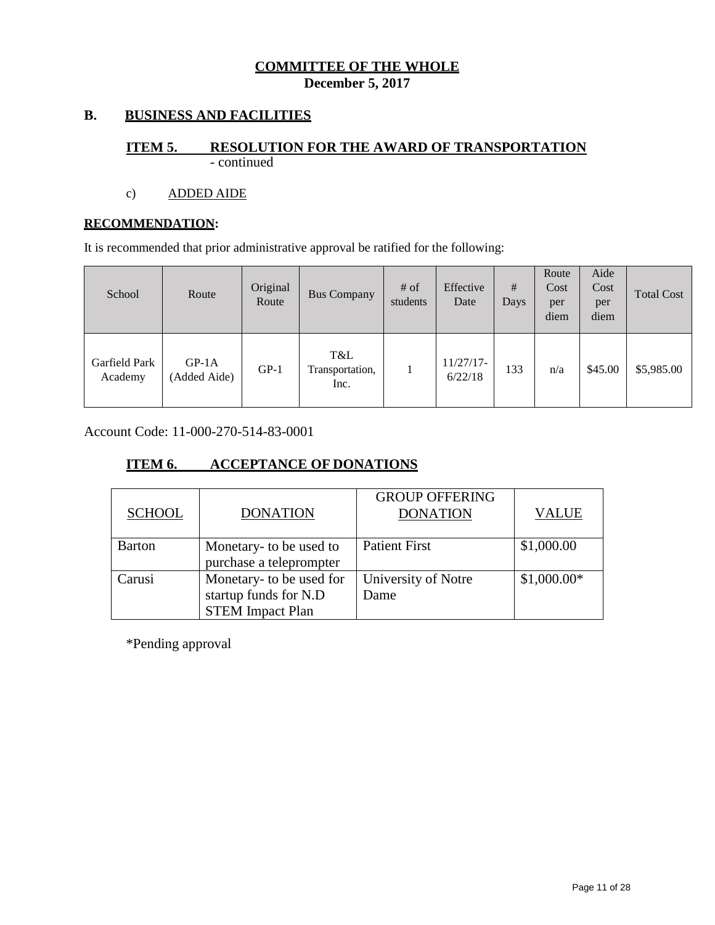# **B. BUSINESS AND FACILITIES**

#### **ITEM 5. RESOLUTION FOR THE AWARD OF TRANSPORTATION** - continued

# c) ADDED AIDE

#### **RECOMMENDATION:**

It is recommended that prior administrative approval be ratified for the following:

| School                   | Route                   | Original<br>Route | <b>Bus Company</b>             | $#$ of<br>students | Effective<br>Date      | #<br>Days | Route<br>Cost<br>per<br>diem | Aide<br>Cost<br>per<br>diem | <b>Total Cost</b> |
|--------------------------|-------------------------|-------------------|--------------------------------|--------------------|------------------------|-----------|------------------------------|-----------------------------|-------------------|
| Garfield Park<br>Academy | $GP-1A$<br>(Added Aide) | $GP-1$            | T&L<br>Transportation,<br>Inc. |                    | $11/27/17-$<br>6/22/18 | 133       | n/a                          | \$45.00                     | \$5,985.00        |

Account Code: 11-000-270-514-83-0001

# **ITEM 6. ACCEPTANCE OF DONATIONS**

| <b>SCHOOL</b> | <b>DONATION</b>                                                              | <b>GROUP OFFERING</b><br><b>DONATION</b> | <b>VALUE</b> |
|---------------|------------------------------------------------------------------------------|------------------------------------------|--------------|
| <b>Barton</b> | Monetary- to be used to<br>purchase a teleprompter                           | <b>Patient First</b>                     | \$1,000.00   |
| Carusi        | Monetary- to be used for<br>startup funds for N.D<br><b>STEM Impact Plan</b> | University of Notre<br>Dame              | $$1,000.00*$ |

\*Pending approval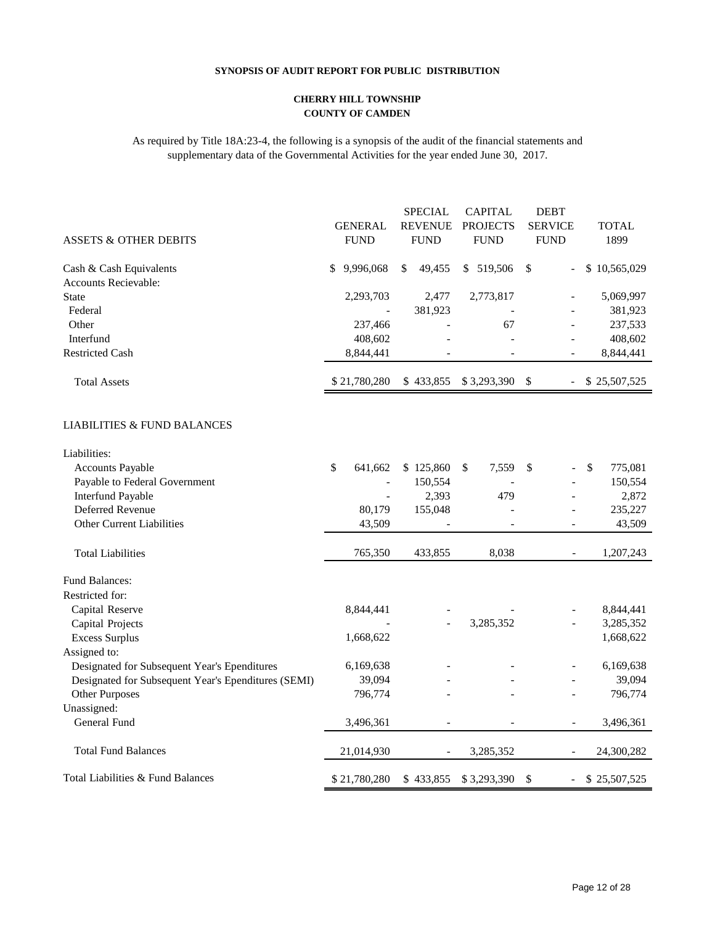#### **SYNOPSIS OF AUDIT REPORT FOR PUBLIC DISTRIBUTION**

#### **CHERRY HILL TOWNSHIP COUNTY OF CAMDEN**

As required by Title 18A:23-4, the following is a synopsis of the audit of the financial statements and supplementary data of the Governmental Activities for the year ended June 30, 2017.

|                                                     |                          | <b>SPECIAL</b> | <b>CAPITAL</b>  | <b>DEBT</b>                               |               |
|-----------------------------------------------------|--------------------------|----------------|-----------------|-------------------------------------------|---------------|
|                                                     | <b>GENERAL</b>           | <b>REVENUE</b> | <b>PROJECTS</b> | <b>SERVICE</b>                            | <b>TOTAL</b>  |
| <b>ASSETS &amp; OTHER DEBITS</b>                    | <b>FUND</b>              | <b>FUND</b>    | <b>FUND</b>     | <b>FUND</b>                               | 1899          |
| Cash & Cash Equivalents                             | 9,996,068<br>\$          | 49,455<br>\$   | \$ 519,506      | \$                                        | \$10,565,029  |
| Accounts Recievable:                                |                          |                |                 |                                           |               |
| <b>State</b>                                        | 2,293,703                | 2,477          | 2,773,817       |                                           | 5,069,997     |
| Federal                                             |                          | 381,923        |                 |                                           | 381,923       |
| Other                                               | 237,466                  |                | 67              |                                           | 237,533       |
| Interfund                                           | 408,602                  |                |                 |                                           | 408,602       |
| <b>Restricted Cash</b>                              | 8,844,441                |                |                 |                                           | 8,844,441     |
| <b>Total Assets</b>                                 | \$21,780,280             | \$433,855      | \$3,293,390     | \$<br>$\blacksquare$                      | \$25,507,525  |
| LIABILITIES & FUND BALANCES                         |                          |                |                 |                                           |               |
| Liabilities:                                        |                          |                |                 |                                           |               |
| <b>Accounts Payable</b>                             | \$<br>641,662            | \$125,860      | \$<br>7,559     | \$                                        | \$<br>775,081 |
| Payable to Federal Government                       | $\overline{a}$           | 150,554        |                 |                                           | 150,554       |
| <b>Interfund Payable</b>                            | $\overline{\phantom{0}}$ | 2,393          | 479             |                                           | 2,872         |
| Deferred Revenue                                    | 80,179                   | 155,048        |                 |                                           | 235,227       |
| <b>Other Current Liabilities</b>                    | 43,509                   |                |                 |                                           | 43,509        |
| <b>Total Liabilities</b>                            | 765,350                  | 433,855        | 8,038           | $\blacksquare$                            | 1,207,243     |
| Fund Balances:                                      |                          |                |                 |                                           |               |
| Restricted for:                                     |                          |                |                 |                                           |               |
| Capital Reserve                                     | 8,844,441                |                |                 |                                           | 8,844,441     |
| Capital Projects                                    |                          |                | 3,285,352       |                                           | 3,285,352     |
| <b>Excess Surplus</b>                               | 1,668,622                |                |                 |                                           | 1,668,622     |
| Assigned to:                                        |                          |                |                 |                                           |               |
| Designated for Subsequent Year's Ependitures        | 6,169,638                |                |                 |                                           | 6,169,638     |
| Designated for Subsequent Year's Ependitures (SEMI) | 39,094                   |                |                 |                                           | 39,094        |
| Other Purposes                                      | 796,774                  |                |                 |                                           | 796,774       |
| Unassigned:                                         |                          |                |                 |                                           |               |
| General Fund                                        | 3,496,361                |                |                 | $\overline{a}$                            | 3,496,361     |
| <b>Total Fund Balances</b>                          | 21,014,930               |                | 3,285,352       |                                           | 24,300,282    |
| Total Liabilities & Fund Balances                   | \$21,780,280             | \$433,855      | \$3,293,390     | $\mathcal{S}$<br>$\overline{\phantom{a}}$ | \$25,507,525  |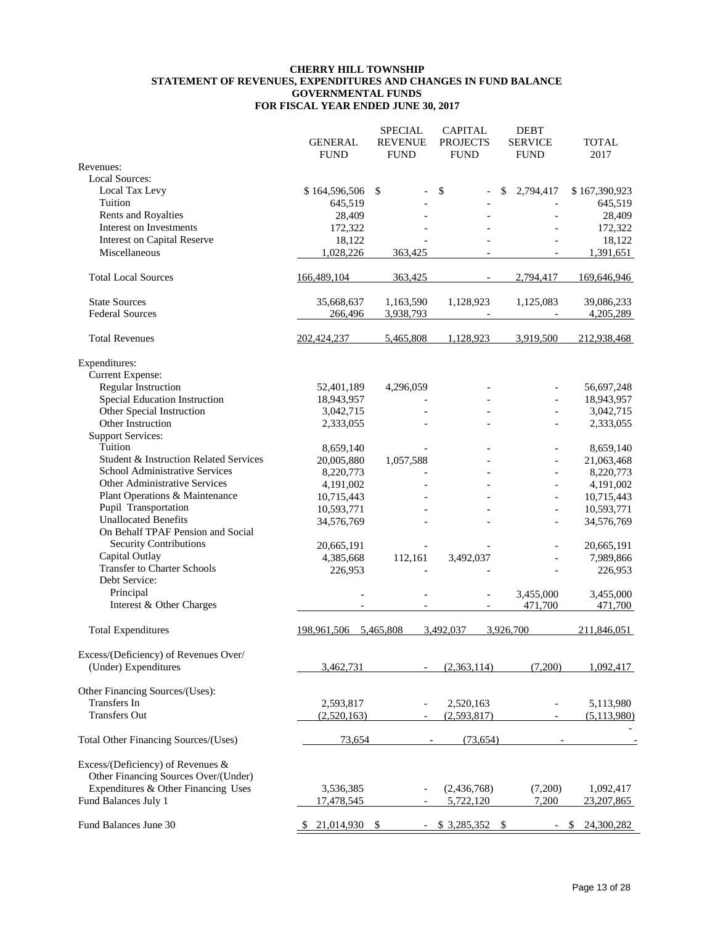#### **CHERRY HILL TOWNSHIP STATEMENT OF REVENUES, EXPENDITURES AND CHANGES IN FUND BALANCE GOVERNMENTAL FUNDS FOR FISCAL YEAR ENDED JUNE 30, 2017**

|                                                                           |                  | <b>SPECIAL</b> | <b>CAPITAL</b>           | <b>DEBT</b>     |               |
|---------------------------------------------------------------------------|------------------|----------------|--------------------------|-----------------|---------------|
|                                                                           | <b>GENERAL</b>   | <b>REVENUE</b> | <b>PROJECTS</b>          | <b>SERVICE</b>  | <b>TOTAL</b>  |
|                                                                           | <b>FUND</b>      | <b>FUND</b>    | <b>FUND</b>              | <b>FUND</b>     | 2017          |
| Revenues:                                                                 |                  |                |                          |                 |               |
| <b>Local Sources:</b>                                                     |                  |                |                          |                 |               |
| Local Tax Levy                                                            | \$164,596,506 \$ |                | \$                       | \$<br>2,794,417 | \$167,390,923 |
| Tuition                                                                   | 645,519          |                |                          |                 | 645,519       |
| Rents and Royalties                                                       | 28,409           |                |                          |                 | 28,409        |
| Interest on Investments                                                   | 172,322          |                |                          |                 | 172,322       |
| <b>Interest on Capital Reserve</b>                                        | 18,122           |                |                          |                 | 18,122        |
| Miscellaneous                                                             | 1,028,226        | 363,425        |                          |                 | 1,391,651     |
| <b>Total Local Sources</b>                                                | 166,489,104      | 363,425        | $\overline{\phantom{a}}$ | 2,794,417       | 169,646,946   |
| <b>State Sources</b>                                                      | 35,668,637       | 1,163,590      | 1,128,923                | 1,125,083       | 39,086,233    |
| <b>Federal Sources</b>                                                    | 266,496          | 3,938,793      |                          |                 | 4,205,289     |
| <b>Total Revenues</b>                                                     | 202,424,237      | 5,465,808      | 1,128,923                | 3,919,500       | 212,938,468   |
|                                                                           |                  |                |                          |                 |               |
| Expenditures:                                                             |                  |                |                          |                 |               |
| Current Expense:                                                          |                  |                |                          |                 |               |
| Regular Instruction                                                       | 52,401,189       | 4,296,059      |                          |                 | 56,697,248    |
| Special Education Instruction                                             | 18,943,957       |                |                          |                 | 18,943,957    |
| Other Special Instruction                                                 | 3,042,715        |                |                          |                 | 3,042,715     |
| Other Instruction                                                         | 2,333,055        |                |                          |                 | 2,333,055     |
| <b>Support Services:</b>                                                  |                  |                |                          |                 |               |
| Tuition                                                                   | 8,659,140        |                |                          | $\overline{a}$  | 8,659,140     |
| Student & Instruction Related Services                                    | 20,005,880       | 1,057,588      |                          | $\overline{a}$  | 21,063,468    |
| School Administrative Services                                            | 8,220,773        |                |                          | $\frac{1}{2}$   | 8,220,773     |
| Other Administrative Services                                             | 4,191,002        |                |                          |                 | 4,191,002     |
| Plant Operations & Maintenance                                            | 10,715,443       |                |                          | $\frac{1}{2}$   | 10,715,443    |
| Pupil Transportation                                                      |                  |                |                          |                 |               |
|                                                                           | 10,593,771       |                |                          |                 | 10,593,771    |
| <b>Unallocated Benefits</b><br>On Behalf TPAF Pension and Social          | 34,576,769       |                |                          | $\overline{a}$  | 34,576,769    |
| Security Contributions                                                    | 20,665,191       |                |                          |                 | 20,665,191    |
| Capital Outlay                                                            | 4,385,668        | 112,161        | 3,492,037                |                 | 7,989,866     |
| <b>Transfer to Charter Schools</b>                                        | 226,953          |                |                          |                 | 226,953       |
| Debt Service:                                                             |                  |                |                          |                 |               |
| Principal                                                                 |                  |                |                          | 3,455,000       | 3,455,000     |
| Interest & Other Charges                                                  |                  |                | $\blacksquare$           | 471,700         | 471,700       |
| <b>Total Expenditures</b>                                                 | 198,961,506      | 5,465,808      | 3,492,037                | 3,926,700       | 211,846,051   |
|                                                                           |                  |                |                          |                 |               |
| Excess/(Deficiency) of Revenues Over/                                     |                  |                |                          |                 |               |
| (Under) Expenditures                                                      | 3,462,731        |                | (2,363,114)              | (7,200)         | 1,092,417     |
| Other Financing Sources/(Uses):                                           |                  |                |                          |                 |               |
| Transfers In                                                              | 2,593,817        |                | 2,520,163                |                 | 5,113,980     |
| <b>Transfers Out</b>                                                      | (2,520,163)      |                | (2,593,817)              |                 | (5,113,980)   |
|                                                                           |                  |                |                          |                 |               |
| Total Other Financing Sources/(Uses)                                      | 73,654           |                | (73, 654)                |                 |               |
| Excess/(Deficiency) of Revenues &<br>Other Financing Sources Over/(Under) |                  |                |                          |                 |               |
| Expenditures & Other Financing Uses                                       | 3,536,385        |                | (2,436,768)              | (7,200)         | 1,092,417     |
| Fund Balances July 1                                                      | 17,478,545       |                | 5,722,120                | 7.200           | 23,207,865    |
| Fund Balances June 30                                                     | 21,014,930       |                | \$3,285,352              |                 | 24,300,282    |
|                                                                           |                  |                |                          |                 |               |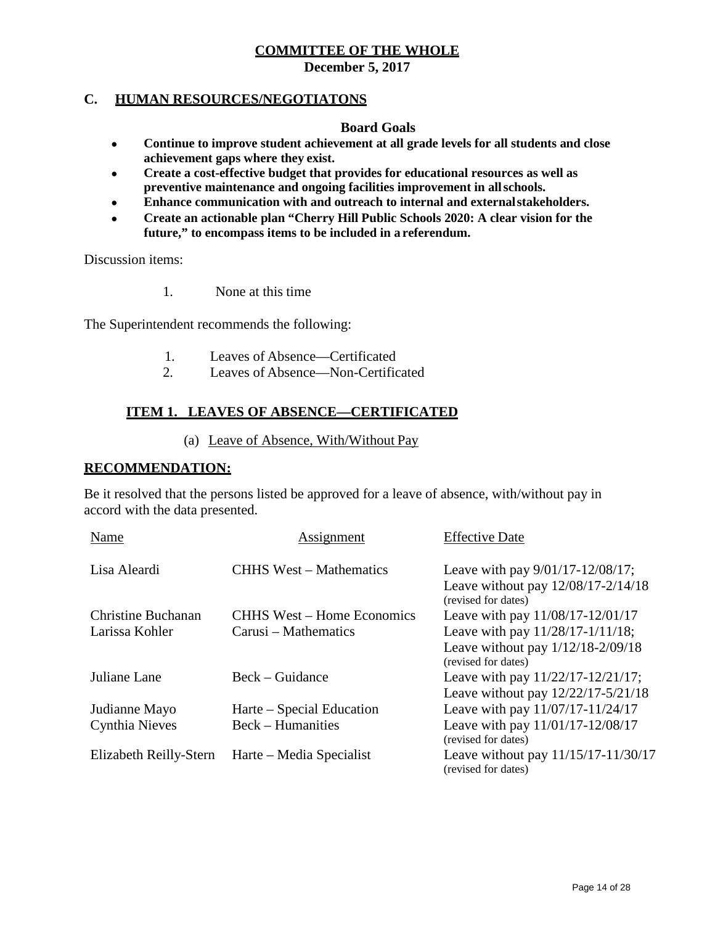**December 5, 2017**

## **C. HUMAN RESOURCES/NEGOTIATONS**

#### **Board Goals**

- **Continue to improve student achievement at all grade levels for all students and close achievement gaps where they exist.**
- **Create a cost-effective budget that provides for educational resources as well as preventive maintenance and ongoing facilities improvement in allschools.**
- **Enhance communication with and outreach to internal and externalstakeholders.**
- **Create an actionable plan "Cherry Hill Public Schools 2020: A clear vision for the future," to encompass items to be included in a referendum.**

Discussion items:

1. None at this time

The Superintendent recommends the following:

- 1. Leaves of Absence—Certificated
- 2. Leaves of Absence—Non-Certificated

# **ITEM 1. LEAVES OF ABSENCE—CERTIFICATED**

(a) Leave of Absence, With/Without Pay

# **RECOMMENDATION:**

Be it resolved that the persons listed be approved for a leave of absence, with/without pay in accord with the data presented.

| Name                   | Assignment                        | <b>Effective Date</b>                                                                              |
|------------------------|-----------------------------------|----------------------------------------------------------------------------------------------------|
| Lisa Aleardi           | <b>CHHS</b> West – Mathematics    | Leave with pay $9/01/17 - 12/08/17$ ;<br>Leave without pay 12/08/17-2/14/18<br>(revised for dates) |
| Christine Buchanan     | <b>CHHS West – Home Economics</b> | Leave with pay 11/08/17-12/01/17                                                                   |
| Larissa Kohler         | Carusi – Mathematics              | Leave with pay 11/28/17-1/11/18;                                                                   |
|                        |                                   | Leave without pay $1/12/18-2/09/18$<br>(revised for dates)                                         |
| Juliane Lane           | Beck – Guidance                   | Leave with pay 11/22/17-12/21/17;                                                                  |
|                        |                                   | Leave without pay 12/22/17-5/21/18                                                                 |
| Judianne Mayo          | Harte – Special Education         | Leave with pay 11/07/17-11/24/17                                                                   |
| Cynthia Nieves         | <b>Beck</b> – Humanities          | Leave with pay 11/01/17-12/08/17<br>(revised for dates)                                            |
| Elizabeth Reilly-Stern | Harte – Media Specialist          | Leave without pay $11/15/17 - 11/30/17$<br>(revised for dates)                                     |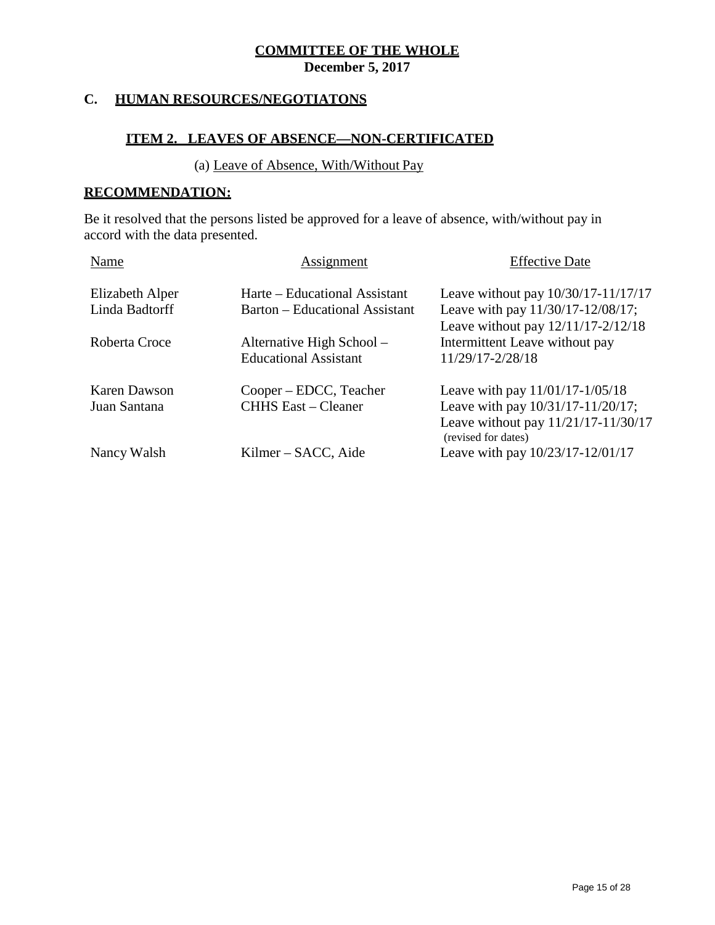**December 5, 2017**

# **C. HUMAN RESOURCES/NEGOTIATONS**

# **ITEM 2. LEAVES OF ABSENCE—NON-CERTIFICATED**

#### (a) Leave of Absence, With/Without Pay

#### **RECOMMENDATION:**

Be it resolved that the persons listed be approved for a leave of absence, with/without pay in accord with the data presented.

| Name                | Assignment                     | <b>Effective Date</b>                                      |
|---------------------|--------------------------------|------------------------------------------------------------|
| Elizabeth Alper     | Harte – Educational Assistant  | Leave without pay $10/30/17 - 11/17/17$                    |
| Linda Badtorff      | Barton – Educational Assistant | Leave with pay 11/30/17-12/08/17;                          |
|                     |                                | Leave without pay $12/11/17 - 2/12/18$                     |
| Roberta Croce       | Alternative High School –      | Intermittent Leave without pay                             |
|                     | <b>Educational Assistant</b>   | 11/29/17-2/28/18                                           |
| <b>Karen Dawson</b> | Cooper – EDCC, Teacher         | Leave with pay 11/01/17-1/05/18                            |
| Juan Santana        | <b>CHHS East – Cleaner</b>     | Leave with pay 10/31/17-11/20/17;                          |
|                     |                                | Leave without pay 11/21/17-11/30/17<br>(revised for dates) |
| Nancy Walsh         | Kilmer – SACC, Aide            | Leave with pay 10/23/17-12/01/17                           |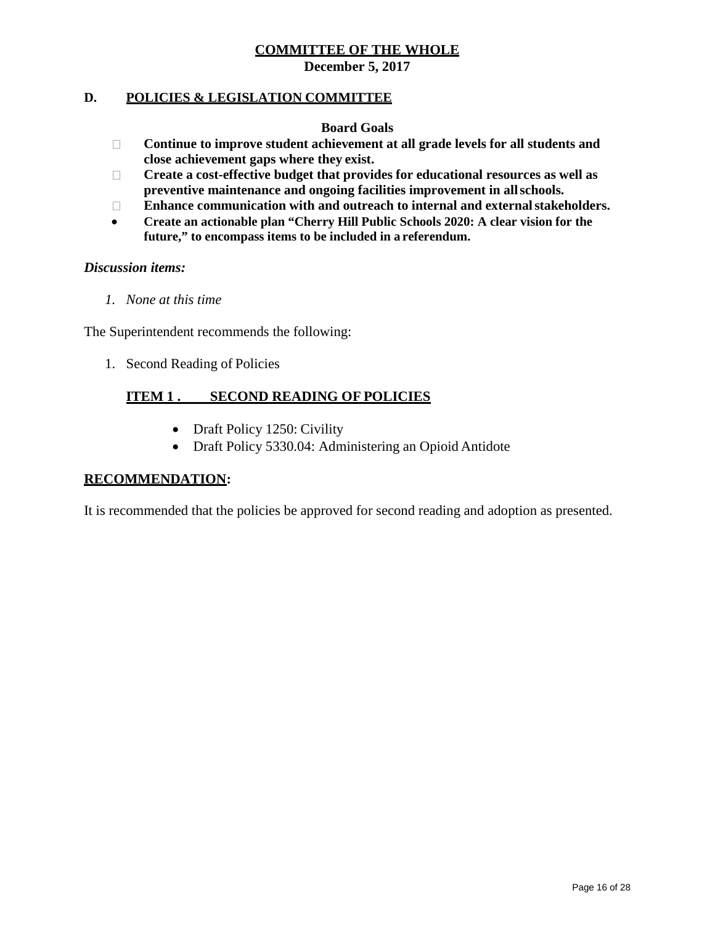**December 5, 2017**

## **D. POLICIES & LEGISLATION COMMITTEE**

#### **Board Goals**

- **Continue to improve student achievement at all grade levels for all students and close achievement gaps where they exist.**
- **Create a cost-effective budget that provides for educational resources as well as preventive maintenance and ongoing facilities improvement in allschools.**
- **Enhance communication with and outreach to internal and externalstakeholders.**
- **Create an actionable plan "Cherry Hill Public Schools 2020: A clear vision for the future," to encompass items to be included in a referendum.**

#### *Discussion items:*

*1. None at this time*

The Superintendent recommends the following:

1. Second Reading of Policies

# **ITEM 1 . SECOND READING OF POLICIES**

- Draft Policy 1250: Civility
- Draft Policy 5330.04: Administering an Opioid Antidote

## **RECOMMENDATION:**

It is recommended that the policies be approved for second reading and adoption as presented.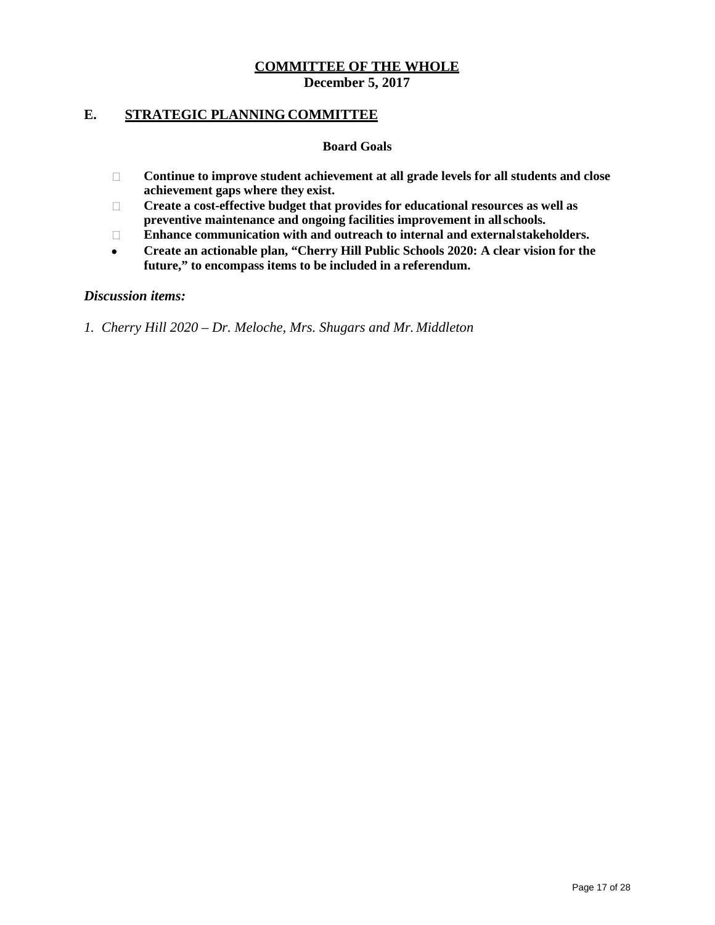#### **E. STRATEGIC PLANNING COMMITTEE**

#### **Board Goals**

- **Continue to improve student achievement at all grade levels for all students and close achievement gaps where they exist.**
- **Create a cost-effective budget that provides for educational resources as well as preventive maintenance and ongoing facilities improvement in allschools.**
- **Enhance communication with and outreach to internal and externalstakeholders.**
- **Create an actionable plan, "Cherry Hill Public Schools 2020: A clear vision for the future," to encompass items to be included in a referendum.**

#### *Discussion items:*

*1. Cherry Hill 2020 – Dr. Meloche, Mrs. Shugars and Mr. Middleton*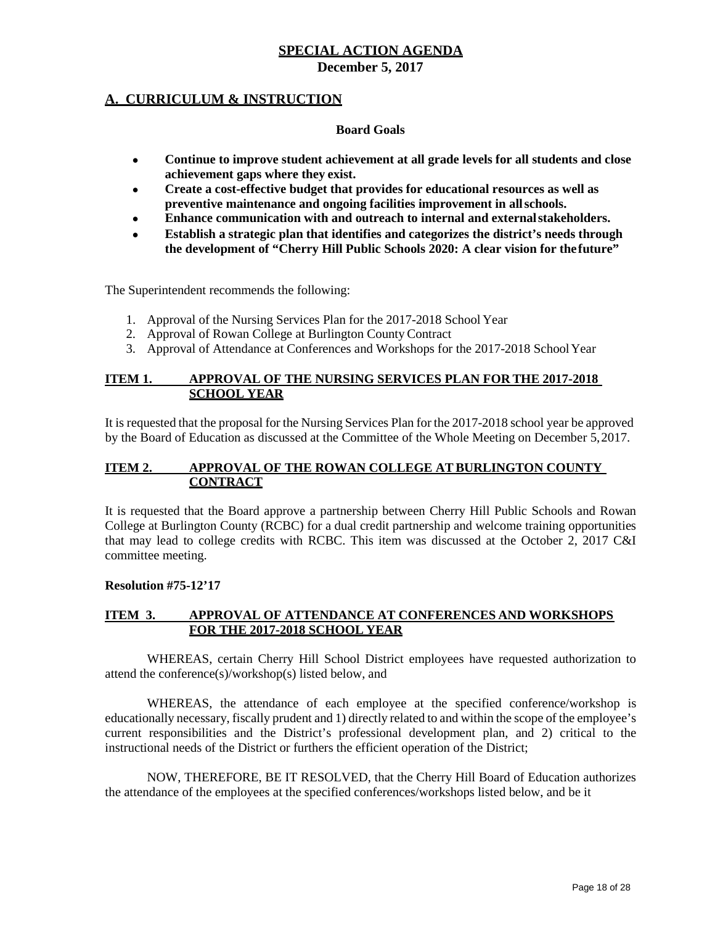#### **A. CURRICULUM & INSTRUCTION**

#### **Board Goals**

- **Continue to improve student achievement at all grade levels for all students and close achievement gaps where they exist.**
- **Create a cost-effective budget that provides for educational resources as well as preventive maintenance and ongoing facilities improvement in allschools.**
- **Enhance communication with and outreach to internal and externalstakeholders.**
- **Establish a strategic plan that identifies and categorizes the district's needs through the development of "Cherry Hill Public Schools 2020: A clear vision for thefuture"**

The Superintendent recommends the following:

- 1. Approval of the Nursing Services Plan for the 2017-2018 School Year
- 2. Approval of Rowan College at Burlington County Contract
- 3. Approval of Attendance at Conferences and Workshops for the 2017-2018 SchoolYear

#### **ITEM 1. APPROVAL OF THE NURSING SERVICES PLAN FOR THE 2017-2018 SCHOOL YEAR**

It is requested that the proposal for the Nursing Services Plan for the 2017-2018 school year be approved by the Board of Education as discussed at the Committee of the Whole Meeting on December 5,2017.

#### **ITEM 2. APPROVAL OF THE ROWAN COLLEGE AT BURLINGTON COUNTY CONTRACT**

It is requested that the Board approve a partnership between Cherry Hill Public Schools and Rowan College at Burlington County (RCBC) for a dual credit partnership and welcome training opportunities that may lead to college credits with RCBC. This item was discussed at the October 2, 2017 C&I committee meeting.

#### **Resolution #75-12'17**

#### **ITEM 3. APPROVAL OF ATTENDANCE AT CONFERENCES AND WORKSHOPS FOR THE 2017-2018 SCHOOL YEAR**

WHEREAS, certain Cherry Hill School District employees have requested authorization to attend the conference(s)/workshop(s) listed below, and

WHEREAS, the attendance of each employee at the specified conference/workshop is educationally necessary, fiscally prudent and 1) directly related to and within the scope of the employee's current responsibilities and the District's professional development plan, and 2) critical to the instructional needs of the District or furthers the efficient operation of the District;

NOW, THEREFORE, BE IT RESOLVED, that the Cherry Hill Board of Education authorizes the attendance of the employees at the specified conferences/workshops listed below, and be it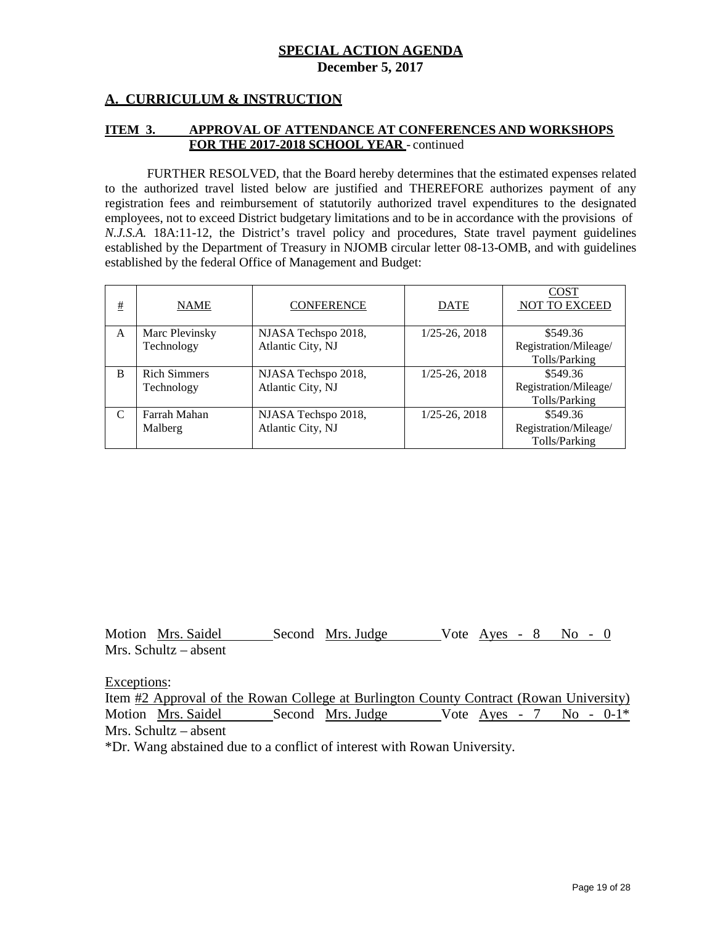#### **A. CURRICULUM & INSTRUCTION**

#### **ITEM 3. APPROVAL OF ATTENDANCE AT CONFERENCES AND WORKSHOPS FOR THE 2017-2018 SCHOOL YEAR** - continued

FURTHER RESOLVED, that the Board hereby determines that the estimated expenses related to the authorized travel listed below are justified and THEREFORE authorizes payment of any registration fees and reimbursement of statutorily authorized travel expenditures to the designated employees, not to exceed District budgetary limitations and to be in accordance with the provisions of *N.J.S.A.* 18A:11-12, the District's travel policy and procedures, State travel payment guidelines established by the Department of Treasury in NJOMB circular letter 08-13-OMB, and with guidelines established by the federal Office of Management and Budget:

| # | <b>NAME</b>                       | <b>CONFERENCE</b>                        | <b>DATE</b>          | <b>COST</b><br><b>NOT TO EXCEED</b>                |
|---|-----------------------------------|------------------------------------------|----------------------|----------------------------------------------------|
| A | Marc Plevinsky<br>Technology      | NJASA Techspo 2018,<br>Atlantic City, NJ | $1/25 - 26$ , $2018$ | \$549.36<br>Registration/Mileage/                  |
|   |                                   |                                          |                      | Tolls/Parking                                      |
| B | <b>Rich Simmers</b><br>Technology | NJASA Techspo 2018,<br>Atlantic City, NJ | $1/25 - 26$ , $2018$ | \$549.36<br>Registration/Mileage/                  |
|   |                                   |                                          |                      | Tolls/Parking                                      |
| C | Farrah Mahan<br>Malberg           | NJASA Techspo 2018,<br>Atlantic City, NJ | $1/25 - 26$ , $2018$ | \$549.36<br>Registration/Mileage/<br>Tolls/Parking |

Motion Mrs. Saidel Second Mrs. Judge Vote Ayes - 8 No - 0 Mrs. Schultz – absent

Exceptions:

Item #2 Approval of the Rowan College at Burlington County Contract (Rowan University) Motion Mrs. Saidel Second Mrs. Judge Vote Ayes - 7 No - 0-1<sup>\*</sup> Mrs. Schultz – absent

\*Dr. Wang abstained due to a conflict of interest with Rowan University.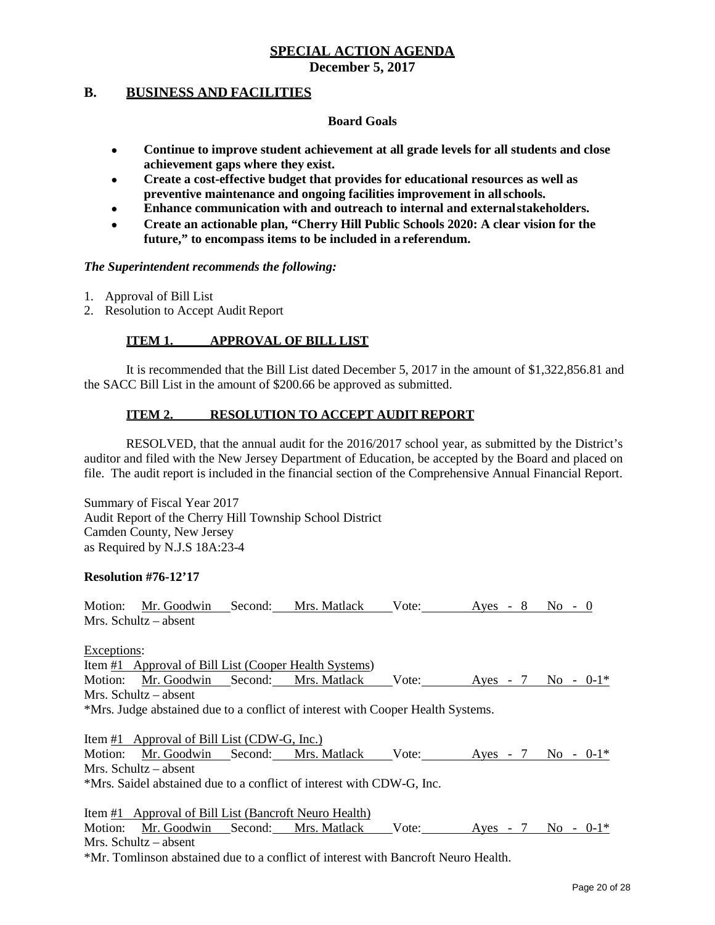**December 5, 2017**

#### **B. BUSINESS AND FACILITIES**

#### **Board Goals**

- **Continue to improve student achievement at all grade levels for all students and close achievement gaps where they exist.**
- **Create a cost-effective budget that provides for educational resources as well as preventive maintenance and ongoing facilities improvement in allschools.**
- **Enhance communication with and outreach to internal and externalstakeholders.**
- **Create an actionable plan, "Cherry Hill Public Schools 2020: A clear vision for the future," to encompass items to be included in a referendum.**

#### *The Superintendent recommends the following:*

- 1. Approval of Bill List
- 2. Resolution to Accept Audit Report

#### **ITEM 1. APPROVAL OF BILL LIST**

It is recommended that the Bill List dated December 5, 2017 in the amount of \$1,322,856.81 and the SACC Bill List in the amount of \$200.66 be approved as submitted.

#### **ITEM 2. RESOLUTION TO ACCEPT AUDIT REPORT**

RESOLVED, that the annual audit for the 2016/2017 school year, as submitted by the District's auditor and filed with the New Jersey Department of Education, be accepted by the Board and placed on file. The audit report is included in the financial section of the Comprehensive Annual Financial Report.

Summary of Fiscal Year 2017 Audit Report of the Cherry Hill Township School District Camden County, New Jersey as Required by N.J.S 18A:23-4

#### **Resolution #76-12'17**

Motion: Mr. Goodwin Second: Mrs. Matlack Vote: Ayes - 8 No - 0 Mrs. Schultz – absent

Exceptions:

Item #1 Approval of Bill List (Cooper Health Systems) Motion: Mr. Goodwin Second: Mrs. Matlack Vote: Ayes - 7 No - 0-1\* Mrs. Schultz – absent

\*Mrs. Judge abstained due to a conflict of interest with Cooper Health Systems.

Item #1 Approval of Bill List (CDW-G, Inc.) Motion: Mr. Goodwin Second: Mrs. Matlack Vote: Ayes - 7 No - 0-1\* Mrs. Schultz – absent \*Mrs. Saidel abstained due to a conflict of interest with CDW-G, Inc.

Item #1 Approval of Bill List (Bancroft Neuro Health) Motion: Mr. Goodwin Second: Mrs. Matlack Vote: Ayes - 7 No - 0-1\* Mrs. Schultz – absent \*Mr. Tomlinson abstained due to a conflict of interest with Bancroft Neuro Health.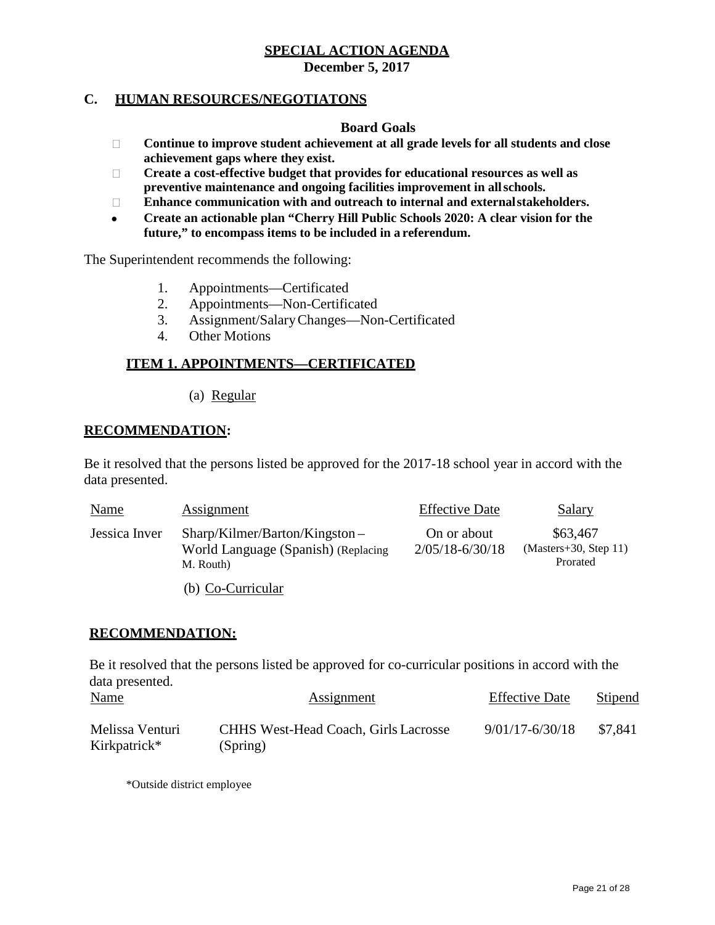**December 5, 2017**

## **C. HUMAN RESOURCES/NEGOTIATONS**

#### **Board Goals**

- **Continue to improve student achievement at all grade levels for all students and close achievement gaps where they exist.**
- **Create a cost-effective budget that provides for educational resources as well as preventive maintenance and ongoing facilities improvement in allschools.**
- **Enhance communication with and outreach to internal and externalstakeholders.**
- **Create an actionable plan "Cherry Hill Public Schools 2020: A clear vision for the future," to encompass items to be included in a referendum.**

The Superintendent recommends the following:

- 1. Appointments—Certificated
- 2. Appointments—Non-Certificated
- 3. Assignment/SalaryChanges—Non-Certificated
- 4. Other Motions

## **ITEM 1. APPOINTMENTS—CERTIFICATED**

(a) Regular

#### **RECOMMENDATION:**

Be it resolved that the persons listed be approved for the 2017-18 school year in accord with the data presented.

| <b>Name</b>   | Assignment                                                                           | <b>Effective Date</b>              | Salary                                          |
|---------------|--------------------------------------------------------------------------------------|------------------------------------|-------------------------------------------------|
| Jessica Inver | $Sharp/Kilmer/Barton/Kingston -$<br>World Language (Spanish) (Replacing<br>M. Routh) | On or about<br>$2/05/18 - 6/30/18$ | \$63,467<br>$(Masters+30, Step 11)$<br>Prorated |
|               | (b) Co-Curricular                                                                    |                                    |                                                 |

#### **RECOMMENDATION:**

Be it resolved that the persons listed be approved for co-curricular positions in accord with the data presented.

| <u>Name</u>     | <b>Assignment</b>                           | <b>Effective Date</b> | Stipend |  |
|-----------------|---------------------------------------------|-----------------------|---------|--|
| Melissa Venturi | <b>CHHS West-Head Coach, Girls Lacrosse</b> | $9/01/17 - 6/30/18$   | \$7.841 |  |
| Kirkpatrick*    | (Spring)                                    |                       |         |  |

\*Outside district employee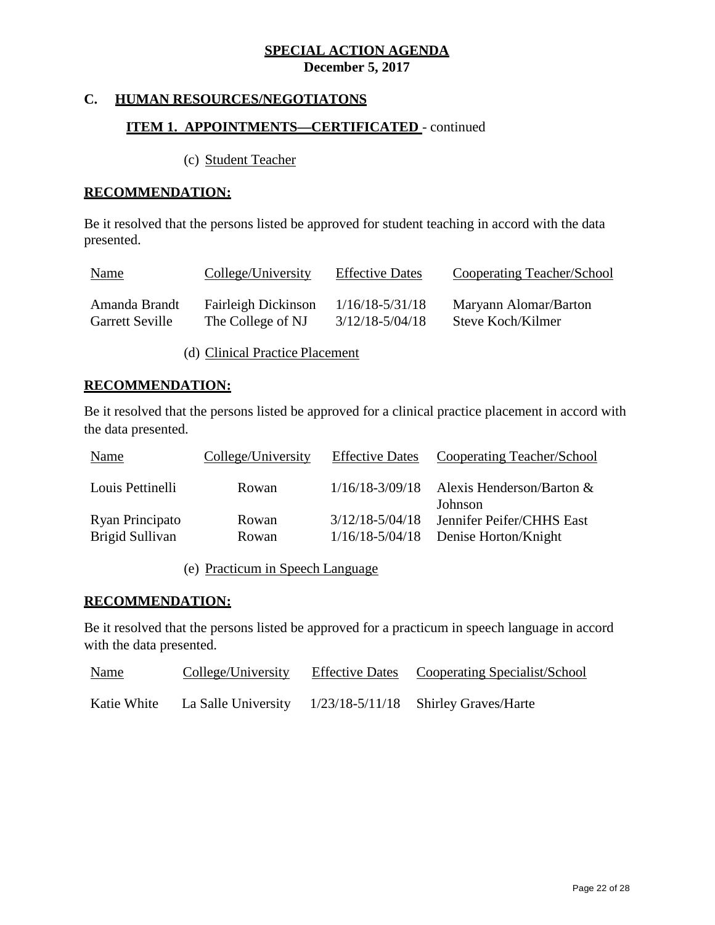**December 5, 2017**

# **C. HUMAN RESOURCES/NEGOTIATONS**

# **ITEM 1. APPOINTMENTS—CERTIFICATED** - continued

(c) Student Teacher

## **RECOMMENDATION:**

Be it resolved that the persons listed be approved for student teaching in accord with the data presented.

| <u>Name</u>            | College/University         | <b>Effective Dates</b> | Cooperating Teacher/School |
|------------------------|----------------------------|------------------------|----------------------------|
| Amanda Brandt          | <b>Fairleigh Dickinson</b> | $1/16/18 - 5/31/18$    | Maryann Alomar/Barton      |
| <b>Garrett Seville</b> | The College of NJ          | $3/12/18 - 5/04/18$    | Steve Koch/Kilmer          |

(d) Clinical Practice Placement

# **RECOMMENDATION:**

Be it resolved that the persons listed be approved for a clinical practice placement in accord with the data presented.

| Name                               | College/University | <b>Effective Dates</b>                     | Cooperating Teacher/School                        |
|------------------------------------|--------------------|--------------------------------------------|---------------------------------------------------|
| Louis Pettinelli                   | Rowan              | $1/16/18 - 3/09/18$                        | Alexis Henderson/Barton &<br>Johnson              |
| Ryan Principato<br>Brigid Sullivan | Rowan<br>Rowan     | $3/12/18 - 5/04/18$<br>$1/16/18 - 5/04/18$ | Jennifer Peifer/CHHS East<br>Denise Horton/Knight |

(e) Practicum in Speech Language

## **RECOMMENDATION:**

Be it resolved that the persons listed be approved for a practicum in speech language in accord with the data presented.

| <b>Name</b> | College/University | Effective Dates Cooperating Specialist/School            |
|-------------|--------------------|----------------------------------------------------------|
| Katie White |                    | La Salle University 1/23/18-5/11/18 Shirley Graves/Harte |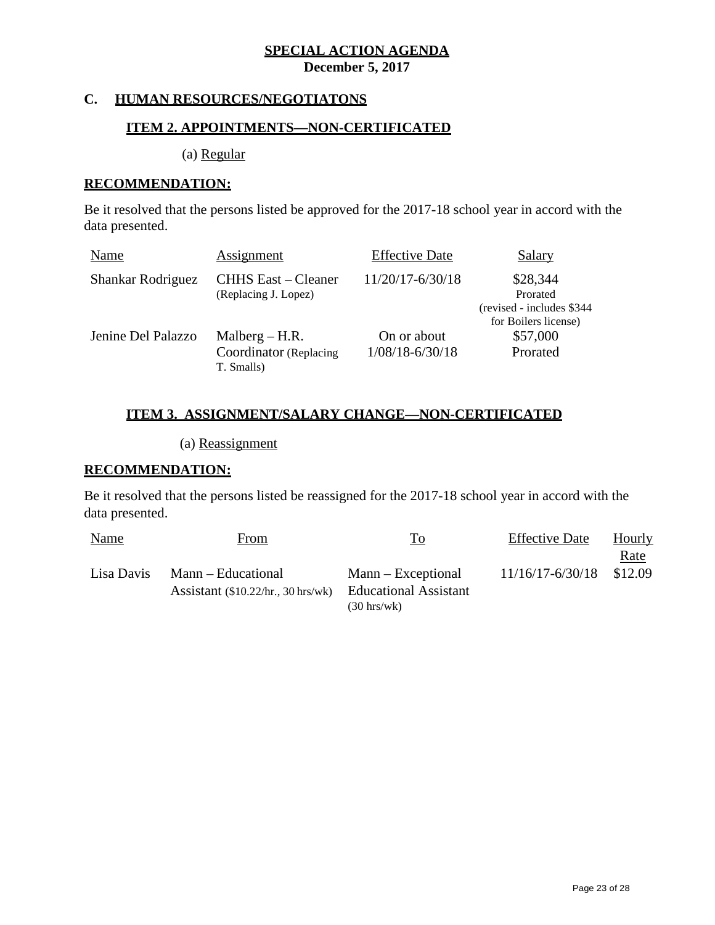**December 5, 2017**

# **C. HUMAN RESOURCES/NEGOTIATONS**

## **ITEM 2. APPOINTMENTS—NON-CERTIFICATED**

(a) Regular

#### **RECOMMENDATION:**

Be it resolved that the persons listed be approved for the 2017-18 school year in accord with the data presented.

| Name               | Assignment                                               | <b>Effective Date</b>              | <b>Salary</b>                                                              |
|--------------------|----------------------------------------------------------|------------------------------------|----------------------------------------------------------------------------|
| Shankar Rodriguez  | <b>CHHS</b> East – Cleaner<br>(Replacing J. Lopez)       | 11/20/17-6/30/18                   | \$28,344<br>Prorated<br>(revised - includes \$344)<br>for Boilers license) |
| Jenine Del Palazzo | Malberg $-$ H.R.<br>Coordinator (Replacing<br>T. Smalls) | On or about<br>$1/08/18 - 6/30/18$ | \$57,000<br>Prorated                                                       |

# **ITEM 3. ASSIGNMENT/SALARY CHANGE—NON-CERTIFICATED**

(a) Reassignment

#### **RECOMMENDATION:**

Be it resolved that the persons listed be reassigned for the 2017-18 school year in accord with the data presented.

| <b>Name</b> | <u>From</u>                          | <u>To</u>                    | <b>Effective Date</b> | <b>Hourly</b> |
|-------------|--------------------------------------|------------------------------|-----------------------|---------------|
|             |                                      |                              |                       | <u>Rate</u>   |
| Lisa Davis  | Mann – Educational                   | $Mann - Exceptional$         | 11/16/17-6/30/18      | \$12.09       |
|             | Assistant $(\$10.22/hr., 30 hrs/wk)$ | <b>Educational Assistant</b> |                       |               |
|             |                                      | $(30 \text{ hrs}/\text{wk})$ |                       |               |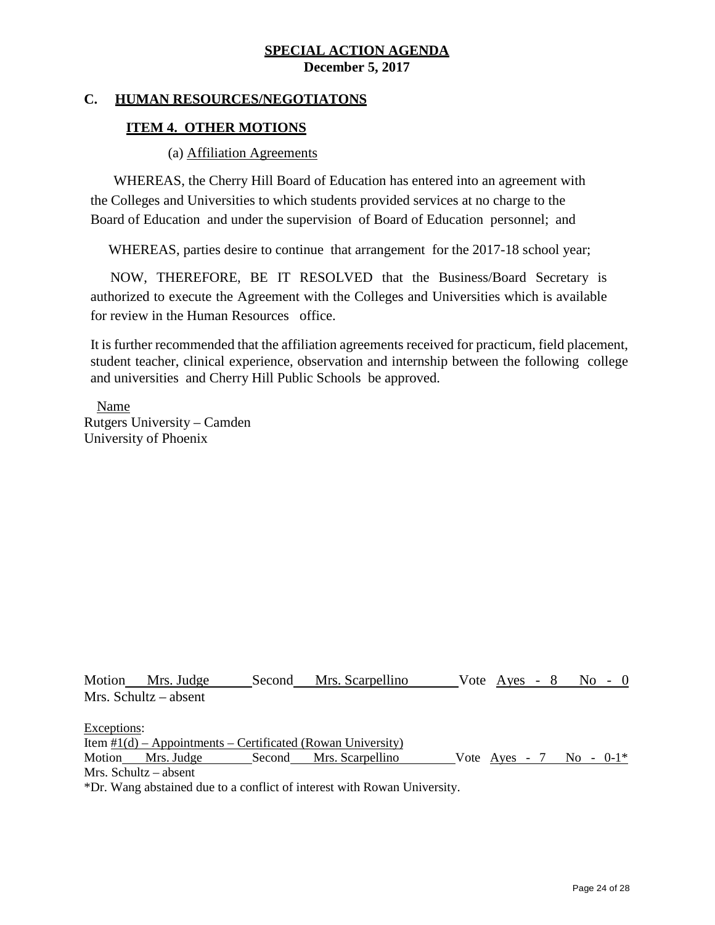#### **C. HUMAN RESOURCES/NEGOTIATONS**

#### **ITEM 4. OTHER MOTIONS**

(a) Affiliation Agreements

WHEREAS, the Cherry Hill Board of Education has entered into an agreement with the Colleges and Universities to which students provided services at no charge to the Board of Education and under the supervision of Board of Education personnel; and

WHEREAS, parties desire to continue that arrangement for the 2017-18 school year;

NOW, THEREFORE, BE IT RESOLVED that the Business/Board Secretary is authorized to execute the Agreement with the Colleges and Universities which is available for review in the Human Resources office.

It is further recommended that the affiliation agreements received for practicum, field placement, student teacher, clinical experience, observation and internship between the following college and universities and Cherry Hill Public Schools be approved.

Name Rutgers University – Camden University of Phoenix

Motion Mrs. Judge Second Mrs. Scarpellino Vote Ayes - 8 No - 0 Mrs. Schultz – absent Exceptions: Item  $#1(d)$  – Appointments – Certificated (Rowan University) Motion Mrs. Judge Second Mrs. Scarpellino Vote Ayes - 7 No - 0-1\* Mrs. Schultz – absent

\*Dr. Wang abstained due to a conflict of interest with Rowan University.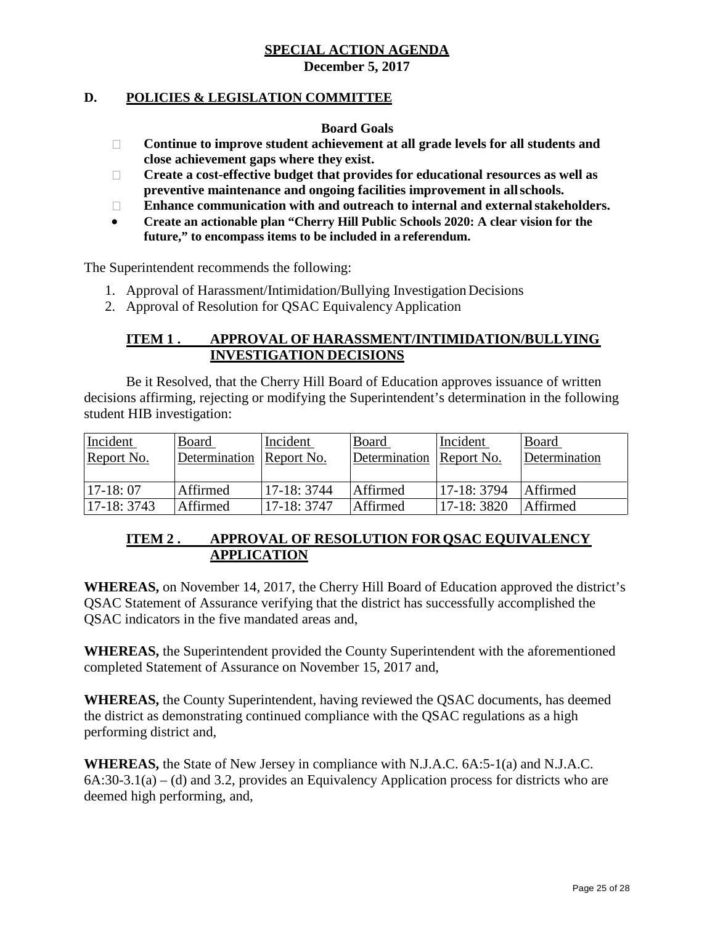#### **D. POLICIES & LEGISLATION COMMITTEE**

**Board Goals**

- **Continue to improve student achievement at all grade levels for all students and close achievement gaps where they exist.**
- **Create a cost-effective budget that provides for educational resources as well as preventive maintenance and ongoing facilities improvement in allschools.**
- **Enhance communication with and outreach to internal and externalstakeholders.**
- **Create an actionable plan "Cherry Hill Public Schools 2020: A clear vision for the future," to encompass items to be included in a referendum.**

The Superintendent recommends the following:

- 1. Approval of Harassment/Intimidation/Bullying InvestigationDecisions
- 2. Approval of Resolution for QSAC Equivalency Application

## **ITEM 1 . APPROVAL OF HARASSMENT/INTIMIDATION/BULLYING INVESTIGATION DECISIONS**

Be it Resolved, that the Cherry Hill Board of Education approves issuance of written decisions affirming, rejecting or modifying the Superintendent's determination in the following student HIB investigation:

| Incident     | Board         | Incident     | Board                    | Incident     | Board         |
|--------------|---------------|--------------|--------------------------|--------------|---------------|
| Report No.   | Determination | Report No.   | Determination Report No. |              | Determination |
|              |               |              |                          |              |               |
| $17-18:07$   | Affirmed      | $17-18:3744$ | Affirmed                 | $17-18:3794$ | Affirmed      |
| $17-18:3743$ | Affirmed      | 17-18: 3747  | Affirmed                 | $17-18:3820$ | Affirmed      |

# **ITEM 2 . APPROVAL OF RESOLUTION FORQSAC EQUIVALENCY APPLICATION**

**WHEREAS,** on November 14, 2017, the Cherry Hill Board of Education approved the district's QSAC Statement of Assurance verifying that the district has successfully accomplished the QSAC indicators in the five mandated areas and,

**WHEREAS,** the Superintendent provided the County Superintendent with the aforementioned completed Statement of Assurance on November 15, 2017 and,

**WHEREAS,** the County Superintendent, having reviewed the QSAC documents, has deemed the district as demonstrating continued compliance with the QSAC regulations as a high performing district and,

**WHEREAS,** the State of New Jersey in compliance with N.J.A.C. 6A:5-1(a) and N.J.A.C.  $6A:30-3.1(a) - (d)$  and 3.2, provides an Equivalency Application process for districts who are deemed high performing, and,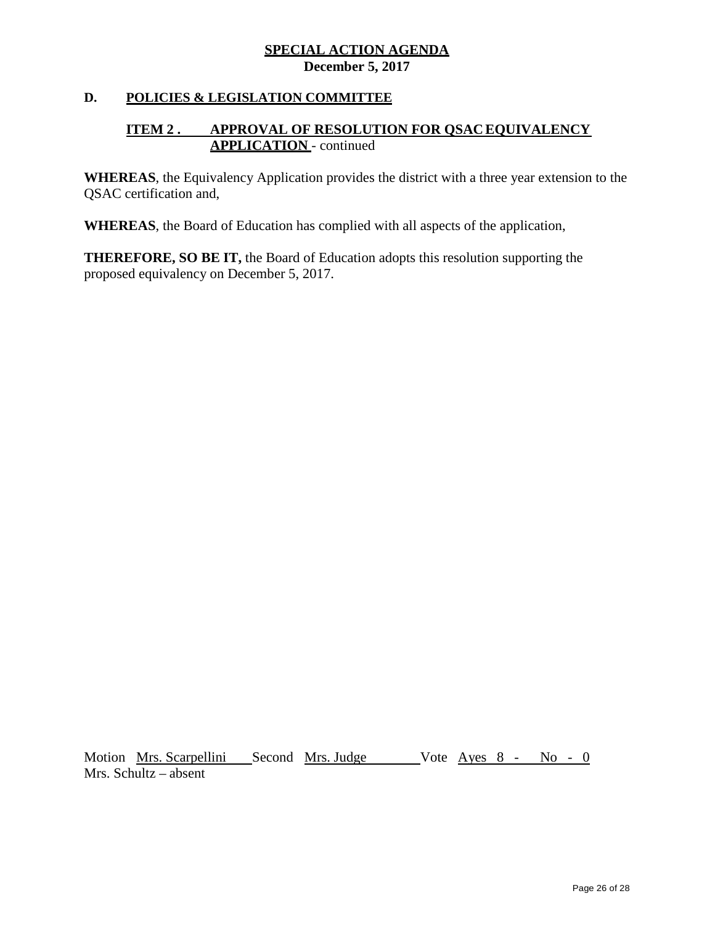## **D. POLICIES & LEGISLATION COMMITTEE**

# **ITEM 2 . APPROVAL OF RESOLUTION FOR QSACEQUIVALENCY APPLICATION** - continued

**WHEREAS**, the Equivalency Application provides the district with a three year extension to the QSAC certification and,

**WHEREAS**, the Board of Education has complied with all aspects of the application,

**THEREFORE, SO BE IT,** the Board of Education adopts this resolution supporting the proposed equivalency on December 5, 2017.

Motion Mrs. Scarpellini Second Mrs. Judge Vote Ayes 8 - No - 0 Mrs. Schultz – absent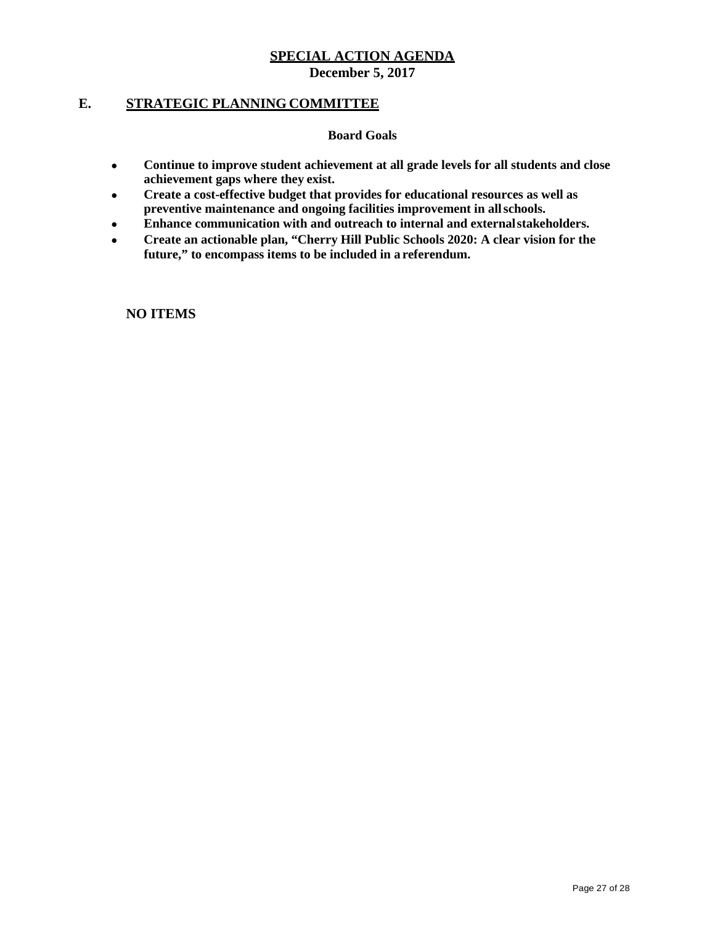# **E. STRATEGIC PLANNING COMMITTEE**

**Board Goals**

- **Continue to improve student achievement at all grade levels for all students and close achievement gaps where they exist.**
- **Create a cost-effective budget that provides for educational resources as well as preventive maintenance and ongoing facilities improvement in allschools.**
- **Enhance communication with and outreach to internal and externalstakeholders.**
- **Create an actionable plan, "Cherry Hill Public Schools 2020: A clear vision for the future," to encompass items to be included in a referendum.**

**NO ITEMS**